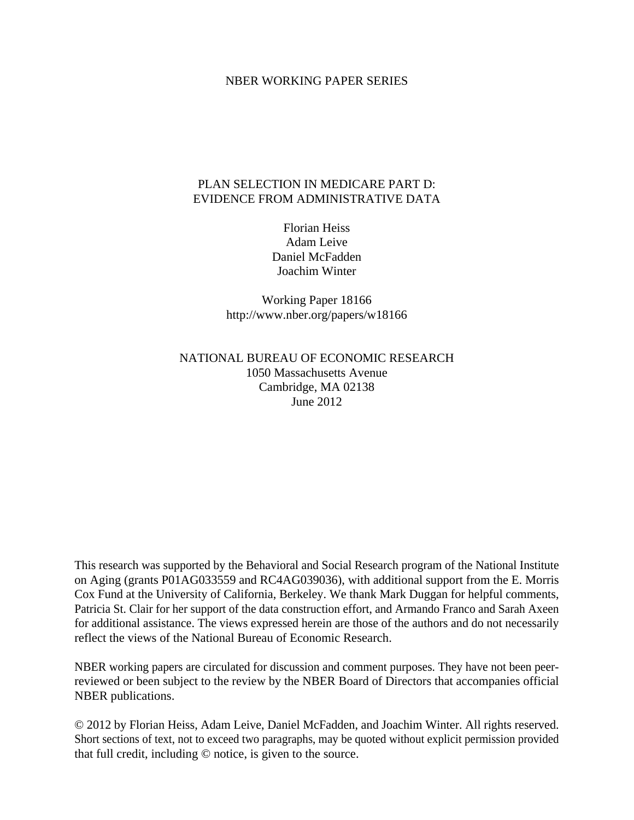## NBER WORKING PAPER SERIES

## PLAN SELECTION IN MEDICARE PART D: EVIDENCE FROM ADMINISTRATIVE DATA

Florian Heiss Adam Leive Daniel McFadden Joachim Winter

Working Paper 18166 http://www.nber.org/papers/w18166

# NATIONAL BUREAU OF ECONOMIC RESEARCH 1050 Massachusetts Avenue Cambridge, MA 02138 June 2012

This research was supported by the Behavioral and Social Research program of the National Institute on Aging (grants P01AG033559 and RC4AG039036), with additional support from the E. Morris Cox Fund at the University of California, Berkeley. We thank Mark Duggan for helpful comments, Patricia St. Clair for her support of the data construction effort, and Armando Franco and Sarah Axeen for additional assistance. The views expressed herein are those of the authors and do not necessarily reflect the views of the National Bureau of Economic Research.

NBER working papers are circulated for discussion and comment purposes. They have not been peerreviewed or been subject to the review by the NBER Board of Directors that accompanies official NBER publications.

© 2012 by Florian Heiss, Adam Leive, Daniel McFadden, and Joachim Winter. All rights reserved. Short sections of text, not to exceed two paragraphs, may be quoted without explicit permission provided that full credit, including © notice, is given to the source.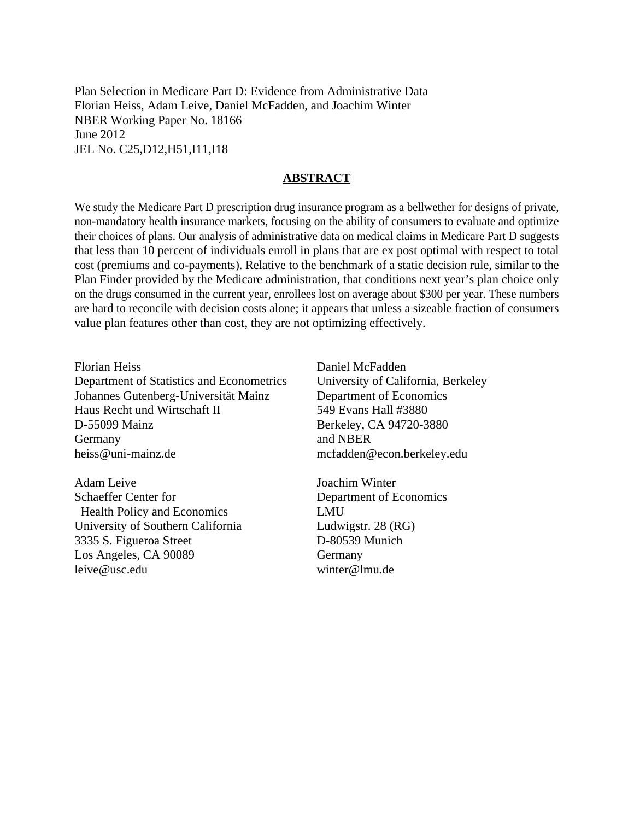Plan Selection in Medicare Part D: Evidence from Administrative Data Florian Heiss, Adam Leive, Daniel McFadden, and Joachim Winter NBER Working Paper No. 18166 June 2012 JEL No. C25,D12,H51,I11,I18

#### **ABSTRACT**

We study the Medicare Part D prescription drug insurance program as a bellwether for designs of private, non-mandatory health insurance markets, focusing on the ability of consumers to evaluate and optimize their choices of plans. Our analysis of administrative data on medical claims in Medicare Part D suggests that less than 10 percent of individuals enroll in plans that are ex post optimal with respect to total cost (premiums and co-payments). Relative to the benchmark of a static decision rule, similar to the Plan Finder provided by the Medicare administration, that conditions next year's plan choice only on the drugs consumed in the current year, enrollees lost on average about \$300 per year. These numbers are hard to reconcile with decision costs alone; it appears that unless a sizeable fraction of consumers value plan features other than cost, they are not optimizing effectively.

Florian Heiss Department of Statistics and Econometrics Johannes Gutenberg-Universität Mainz Haus Recht und Wirtschaft II D-55099 Mainz Germany heiss@uni-mainz.de

Adam Leive Schaeffer Center for Health Policy and Economics University of Southern California 3335 S. Figueroa Street Los Angeles, CA 90089 leive@usc.edu

Daniel McFadden University of California, Berkeley Department of Economics 549 Evans Hall #3880 Berkeley, CA 94720-3880 and NBER mcfadden@econ.berkeley.edu

Joachim Winter Department of Economics LMU Ludwigstr. 28 (RG) D-80539 Munich Germany winter@lmu.de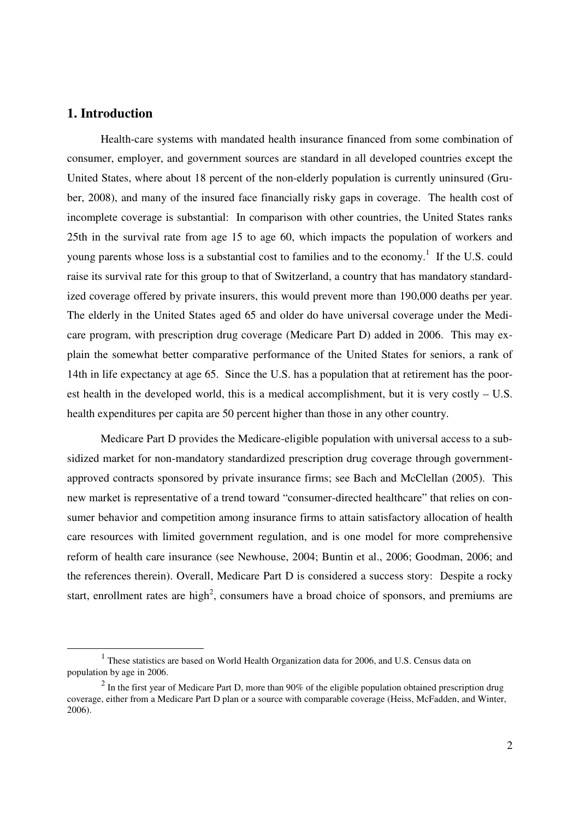# **1. Introduction**

 $\overline{a}$ 

Health-care systems with mandated health insurance financed from some combination of consumer, employer, and government sources are standard in all developed countries except the United States, where about 18 percent of the non-elderly population is currently uninsured (Gruber, 2008), and many of the insured face financially risky gaps in coverage. The health cost of incomplete coverage is substantial: In comparison with other countries, the United States ranks 25th in the survival rate from age 15 to age 60, which impacts the population of workers and young parents whose loss is a substantial cost to families and to the economy.<sup>1</sup> If the U.S. could raise its survival rate for this group to that of Switzerland, a country that has mandatory standardized coverage offered by private insurers, this would prevent more than 190,000 deaths per year. The elderly in the United States aged 65 and older do have universal coverage under the Medicare program, with prescription drug coverage (Medicare Part D) added in 2006. This may explain the somewhat better comparative performance of the United States for seniors, a rank of 14th in life expectancy at age 65. Since the U.S. has a population that at retirement has the poorest health in the developed world, this is a medical accomplishment, but it is very costly  $- U.S.$ health expenditures per capita are 50 percent higher than those in any other country.

Medicare Part D provides the Medicare-eligible population with universal access to a subsidized market for non-mandatory standardized prescription drug coverage through governmentapproved contracts sponsored by private insurance firms; see Bach and McClellan (2005). This new market is representative of a trend toward "consumer-directed healthcare" that relies on consumer behavior and competition among insurance firms to attain satisfactory allocation of health care resources with limited government regulation, and is one model for more comprehensive reform of health care insurance (see Newhouse, 2004; Buntin et al., 2006; Goodman, 2006; and the references therein). Overall, Medicare Part D is considered a success story: Despite a rocky start, enrollment rates are high<sup>2</sup>, consumers have a broad choice of sponsors, and premiums are

<sup>&</sup>lt;sup>1</sup> These statistics are based on World Health Organization data for 2006, and U.S. Census data on population by age in 2006.

 $2$  In the first year of Medicare Part D, more than 90% of the eligible population obtained prescription drug coverage, either from a Medicare Part D plan or a source with comparable coverage (Heiss, McFadden, and Winter, 2006).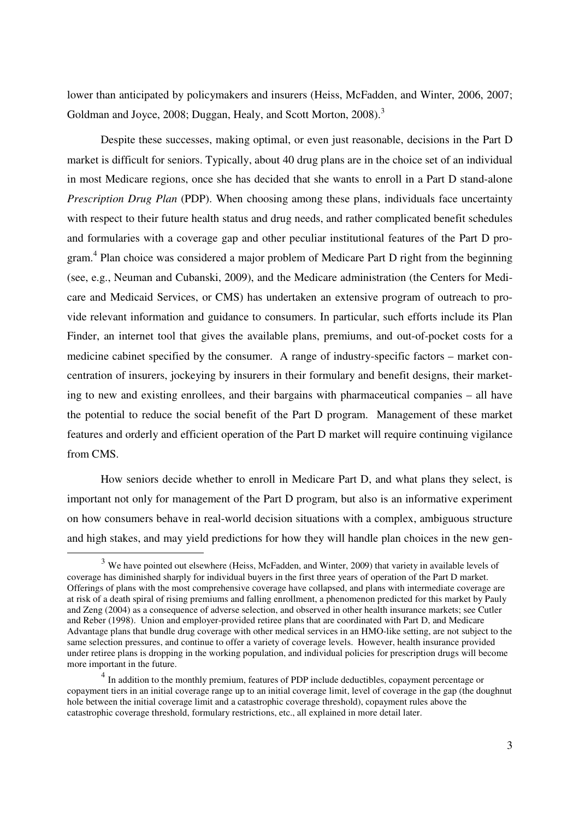lower than anticipated by policymakers and insurers (Heiss, McFadden, and Winter, 2006, 2007; Goldman and Joyce, 2008; Duggan, Healy, and Scott Morton, 2008).<sup>3</sup>

Despite these successes, making optimal, or even just reasonable, decisions in the Part D market is difficult for seniors. Typically, about 40 drug plans are in the choice set of an individual in most Medicare regions, once she has decided that she wants to enroll in a Part D stand-alone *Prescription Drug Plan* (PDP). When choosing among these plans, individuals face uncertainty with respect to their future health status and drug needs, and rather complicated benefit schedules and formularies with a coverage gap and other peculiar institutional features of the Part D program.<sup>4</sup> Plan choice was considered a major problem of Medicare Part D right from the beginning (see, e.g., Neuman and Cubanski, 2009), and the Medicare administration (the Centers for Medicare and Medicaid Services, or CMS) has undertaken an extensive program of outreach to provide relevant information and guidance to consumers. In particular, such efforts include its Plan Finder, an internet tool that gives the available plans, premiums, and out-of-pocket costs for a medicine cabinet specified by the consumer. A range of industry-specific factors – market concentration of insurers, jockeying by insurers in their formulary and benefit designs, their marketing to new and existing enrollees, and their bargains with pharmaceutical companies – all have the potential to reduce the social benefit of the Part D program. Management of these market features and orderly and efficient operation of the Part D market will require continuing vigilance from CMS.

How seniors decide whether to enroll in Medicare Part D, and what plans they select, is important not only for management of the Part D program, but also is an informative experiment on how consumers behave in real-world decision situations with a complex, ambiguous structure and high stakes, and may yield predictions for how they will handle plan choices in the new gen-

 $\overline{a}$ 

<sup>&</sup>lt;sup>3</sup> We have pointed out elsewhere (Heiss, McFadden, and Winter, 2009) that variety in available levels of coverage has diminished sharply for individual buyers in the first three years of operation of the Part D market. Offerings of plans with the most comprehensive coverage have collapsed, and plans with intermediate coverage are at risk of a death spiral of rising premiums and falling enrollment, a phenomenon predicted for this market by Pauly and Zeng (2004) as a consequence of adverse selection, and observed in other health insurance markets; see Cutler and Reber (1998). Union and employer-provided retiree plans that are coordinated with Part D, and Medicare Advantage plans that bundle drug coverage with other medical services in an HMO-like setting, are not subject to the same selection pressures, and continue to offer a variety of coverage levels. However, health insurance provided under retiree plans is dropping in the working population, and individual policies for prescription drugs will become more important in the future.

<sup>&</sup>lt;sup>4</sup> In addition to the monthly premium, features of PDP include deductibles, copayment percentage or copayment tiers in an initial coverage range up to an initial coverage limit, level of coverage in the gap (the doughnut hole between the initial coverage limit and a catastrophic coverage threshold), copayment rules above the catastrophic coverage threshold, formulary restrictions, etc., all explained in more detail later.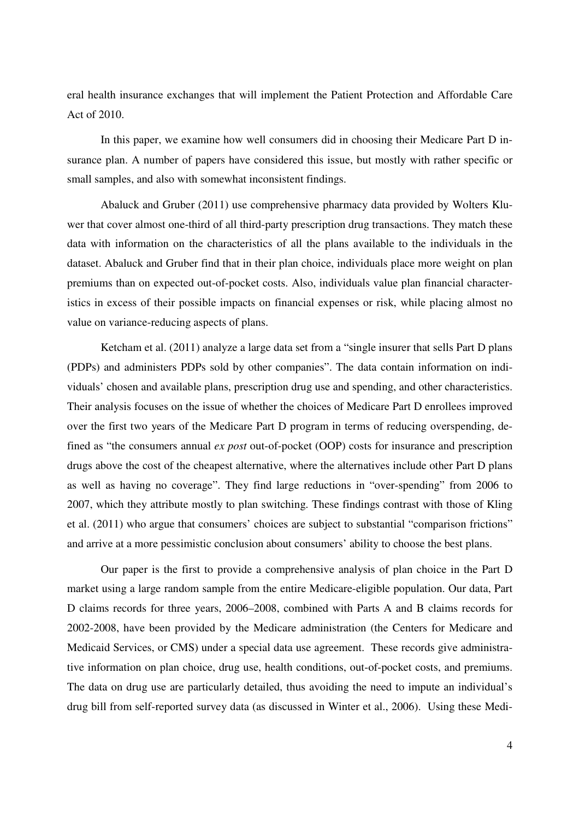eral health insurance exchanges that will implement the Patient Protection and Affordable Care Act of 2010.

In this paper, we examine how well consumers did in choosing their Medicare Part D insurance plan. A number of papers have considered this issue, but mostly with rather specific or small samples, and also with somewhat inconsistent findings.

Abaluck and Gruber (2011) use comprehensive pharmacy data provided by Wolters Kluwer that cover almost one-third of all third-party prescription drug transactions. They match these data with information on the characteristics of all the plans available to the individuals in the dataset. Abaluck and Gruber find that in their plan choice, individuals place more weight on plan premiums than on expected out-of-pocket costs. Also, individuals value plan financial characteristics in excess of their possible impacts on financial expenses or risk, while placing almost no value on variance-reducing aspects of plans.

Ketcham et al. (2011) analyze a large data set from a "single insurer that sells Part D plans (PDPs) and administers PDPs sold by other companies". The data contain information on individuals' chosen and available plans, prescription drug use and spending, and other characteristics. Their analysis focuses on the issue of whether the choices of Medicare Part D enrollees improved over the first two years of the Medicare Part D program in terms of reducing overspending, defined as "the consumers annual *ex post* out-of-pocket (OOP) costs for insurance and prescription drugs above the cost of the cheapest alternative, where the alternatives include other Part D plans as well as having no coverage". They find large reductions in "over-spending" from 2006 to 2007, which they attribute mostly to plan switching. These findings contrast with those of Kling et al. (2011) who argue that consumers' choices are subject to substantial "comparison frictions" and arrive at a more pessimistic conclusion about consumers' ability to choose the best plans.

Our paper is the first to provide a comprehensive analysis of plan choice in the Part D market using a large random sample from the entire Medicare-eligible population. Our data, Part D claims records for three years, 2006–2008, combined with Parts A and B claims records for 2002-2008, have been provided by the Medicare administration (the Centers for Medicare and Medicaid Services, or CMS) under a special data use agreement. These records give administrative information on plan choice, drug use, health conditions, out-of-pocket costs, and premiums. The data on drug use are particularly detailed, thus avoiding the need to impute an individual's drug bill from self-reported survey data (as discussed in Winter et al., 2006). Using these Medi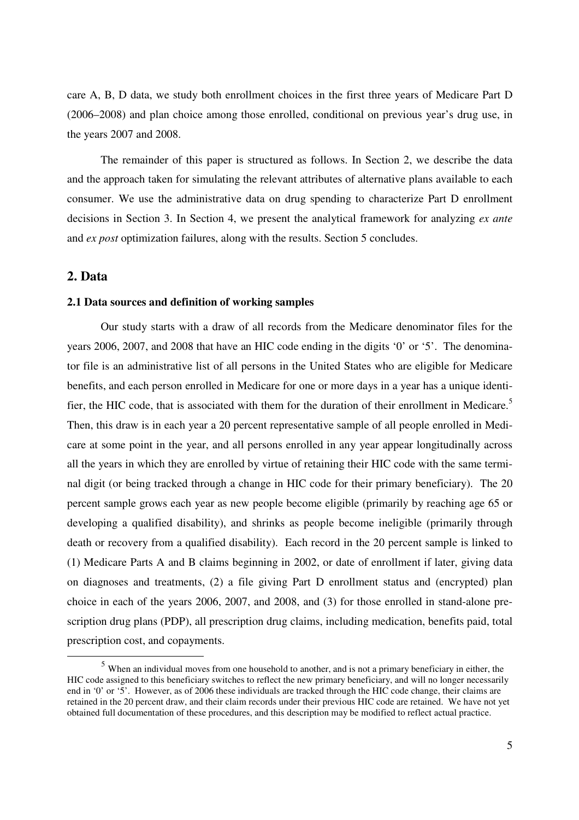care A, B, D data, we study both enrollment choices in the first three years of Medicare Part D (2006–2008) and plan choice among those enrolled, conditional on previous year's drug use, in the years 2007 and 2008.

The remainder of this paper is structured as follows. In Section 2, we describe the data and the approach taken for simulating the relevant attributes of alternative plans available to each consumer. We use the administrative data on drug spending to characterize Part D enrollment decisions in Section 3. In Section 4, we present the analytical framework for analyzing *ex ante* and *ex post* optimization failures, along with the results. Section 5 concludes.

# **2. Data**

**-**

#### **2.1 Data sources and definition of working samples**

Our study starts with a draw of all records from the Medicare denominator files for the years 2006, 2007, and 2008 that have an HIC code ending in the digits '0' or '5'. The denominator file is an administrative list of all persons in the United States who are eligible for Medicare benefits, and each person enrolled in Medicare for one or more days in a year has a unique identifier, the HIC code, that is associated with them for the duration of their enrollment in Medicare.<sup>5</sup> Then, this draw is in each year a 20 percent representative sample of all people enrolled in Medicare at some point in the year, and all persons enrolled in any year appear longitudinally across all the years in which they are enrolled by virtue of retaining their HIC code with the same terminal digit (or being tracked through a change in HIC code for their primary beneficiary). The 20 percent sample grows each year as new people become eligible (primarily by reaching age 65 or developing a qualified disability), and shrinks as people become ineligible (primarily through death or recovery from a qualified disability). Each record in the 20 percent sample is linked to (1) Medicare Parts A and B claims beginning in 2002, or date of enrollment if later, giving data on diagnoses and treatments, (2) a file giving Part D enrollment status and (encrypted) plan choice in each of the years 2006, 2007, and 2008, and (3) for those enrolled in stand-alone prescription drug plans (PDP), all prescription drug claims, including medication, benefits paid, total prescription cost, and copayments.

<sup>&</sup>lt;sup>5</sup> When an individual moves from one household to another, and is not a primary beneficiary in either, the HIC code assigned to this beneficiary switches to reflect the new primary beneficiary, and will no longer necessarily end in '0' or '5'. However, as of 2006 these individuals are tracked through the HIC code change, their claims are retained in the 20 percent draw, and their claim records under their previous HIC code are retained. We have not yet obtained full documentation of these procedures, and this description may be modified to reflect actual practice.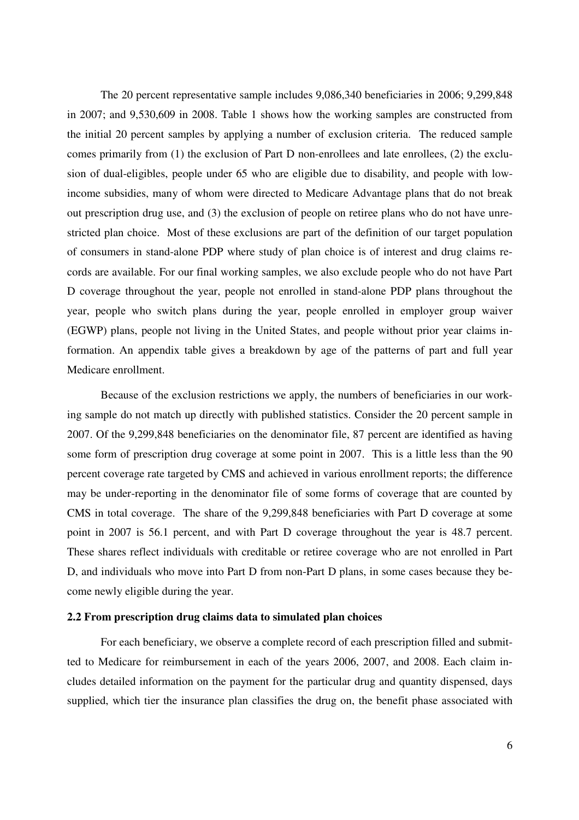The 20 percent representative sample includes 9,086,340 beneficiaries in 2006; 9,299,848 in 2007; and 9,530,609 in 2008. Table 1 shows how the working samples are constructed from the initial 20 percent samples by applying a number of exclusion criteria. The reduced sample comes primarily from (1) the exclusion of Part D non-enrollees and late enrollees, (2) the exclusion of dual-eligibles, people under 65 who are eligible due to disability, and people with lowincome subsidies, many of whom were directed to Medicare Advantage plans that do not break out prescription drug use, and (3) the exclusion of people on retiree plans who do not have unrestricted plan choice. Most of these exclusions are part of the definition of our target population of consumers in stand-alone PDP where study of plan choice is of interest and drug claims records are available. For our final working samples, we also exclude people who do not have Part D coverage throughout the year, people not enrolled in stand-alone PDP plans throughout the year, people who switch plans during the year, people enrolled in employer group waiver (EGWP) plans, people not living in the United States, and people without prior year claims information. An appendix table gives a breakdown by age of the patterns of part and full year Medicare enrollment.

Because of the exclusion restrictions we apply, the numbers of beneficiaries in our working sample do not match up directly with published statistics. Consider the 20 percent sample in 2007. Of the 9,299,848 beneficiaries on the denominator file, 87 percent are identified as having some form of prescription drug coverage at some point in 2007. This is a little less than the 90 percent coverage rate targeted by CMS and achieved in various enrollment reports; the difference may be under-reporting in the denominator file of some forms of coverage that are counted by CMS in total coverage. The share of the 9,299,848 beneficiaries with Part D coverage at some point in 2007 is 56.1 percent, and with Part D coverage throughout the year is 48.7 percent. These shares reflect individuals with creditable or retiree coverage who are not enrolled in Part D, and individuals who move into Part D from non-Part D plans, in some cases because they become newly eligible during the year.

#### **2.2 From prescription drug claims data to simulated plan choices**

For each beneficiary, we observe a complete record of each prescription filled and submitted to Medicare for reimbursement in each of the years 2006, 2007, and 2008. Each claim includes detailed information on the payment for the particular drug and quantity dispensed, days supplied, which tier the insurance plan classifies the drug on, the benefit phase associated with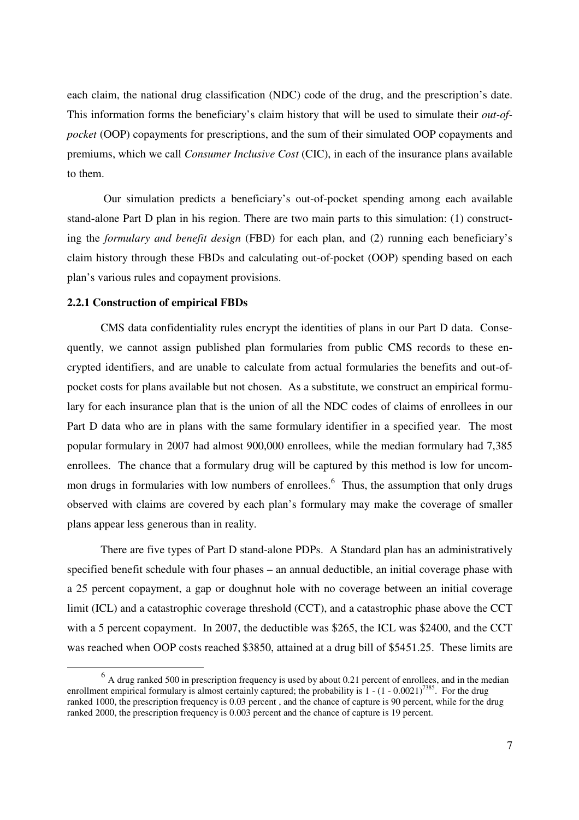each claim, the national drug classification (NDC) code of the drug, and the prescription's date. This information forms the beneficiary's claim history that will be used to simulate their *out-ofpocket* (OOP) copayments for prescriptions, and the sum of their simulated OOP copayments and premiums, which we call *Consumer Inclusive Cost* (CIC), in each of the insurance plans available to them.

 Our simulation predicts a beneficiary's out-of-pocket spending among each available stand-alone Part D plan in his region. There are two main parts to this simulation: (1) constructing the *formulary and benefit design* (FBD) for each plan, and (2) running each beneficiary's claim history through these FBDs and calculating out-of-pocket (OOP) spending based on each plan's various rules and copayment provisions.

#### **2.2.1 Construction of empirical FBDs**

CMS data confidentiality rules encrypt the identities of plans in our Part D data. Consequently, we cannot assign published plan formularies from public CMS records to these encrypted identifiers, and are unable to calculate from actual formularies the benefits and out-ofpocket costs for plans available but not chosen. As a substitute, we construct an empirical formulary for each insurance plan that is the union of all the NDC codes of claims of enrollees in our Part D data who are in plans with the same formulary identifier in a specified year. The most popular formulary in 2007 had almost 900,000 enrollees, while the median formulary had 7,385 enrollees. The chance that a formulary drug will be captured by this method is low for uncommon drugs in formularies with low numbers of enrollees.<sup>6</sup> Thus, the assumption that only drugs observed with claims are covered by each plan's formulary may make the coverage of smaller plans appear less generous than in reality.

There are five types of Part D stand-alone PDPs. A Standard plan has an administratively specified benefit schedule with four phases – an annual deductible, an initial coverage phase with a 25 percent copayment, a gap or doughnut hole with no coverage between an initial coverage limit (ICL) and a catastrophic coverage threshold (CCT), and a catastrophic phase above the CCT with a 5 percent copayment. In 2007, the deductible was \$265, the ICL was \$2400, and the CCT was reached when OOP costs reached \$3850, attained at a drug bill of \$5451.25. These limits are

 $<sup>6</sup>$  A drug ranked 500 in prescription frequency is used by about 0.21 percent of enrollees, and in the median</sup> enrollment empirical formulary is almost certainly captured; the probability is  $1 - (1 - 0.0021)^{7385}$ . For the drug ranked 1000, the prescription frequency is 0.03 percent , and the chance of capture is 90 percent, while for the drug ranked 2000, the prescription frequency is 0.003 percent and the chance of capture is 19 percent.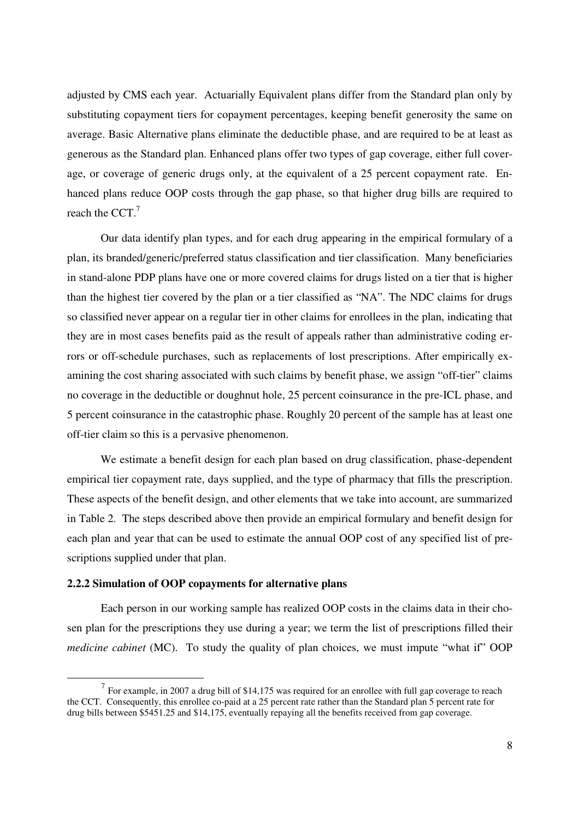adjusted by CMS each year. Actuarially Equivalent plans differ from the Standard plan only by substituting copayment tiers for copayment percentages, keeping benefit generosity the same on average. Basic Alternative plans eliminate the deductible phase, and are required to be at least as generous as the Standard plan. Enhanced plans offer two types of gap coverage, either full coverage, or coverage of generic drugs only, at the equivalent of a 25 percent copayment rate. Enhanced plans reduce OOP costs through the gap phase, so that higher drug bills are required to reach the CCT. $<sup>7</sup>$ </sup>

Our data identify plan types, and for each drug appearing in the empirical formulary of a plan, its branded/generic/preferred status classification and tier classification. Many beneficiaries in stand-alone PDP plans have one or more covered claims for drugs listed on a tier that is higher than the highest tier covered by the plan or a tier classified as "NA". The NDC claims for drugs so classified never appear on a regular tier in other claims for enrollees in the plan, indicating that they are in most cases benefits paid as the result of appeals rather than administrative coding errors or off-schedule purchases, such as replacements of lost prescriptions. After empirically examining the cost sharing associated with such claims by benefit phase, we assign "off-tier" claims no coverage in the deductible or doughnut hole, 25 percent coinsurance in the pre-ICL phase, and 5 percent coinsurance in the catastrophic phase. Roughly 20 percent of the sample has at least one off-tier claim so this is a pervasive phenomenon.

We estimate a benefit design for each plan based on drug classification, phase-dependent empirical tier copayment rate, days supplied, and the type of pharmacy that fills the prescription. These aspects of the benefit design, and other elements that we take into account, are summarized in Table 2. The steps described above then provide an empirical formulary and benefit design for each plan and year that can be used to estimate the annual OOP cost of any specified list of prescriptions supplied under that plan.

## **2.2.2 Simulation of OOP copayments for alternative plans**

 $\overline{a}$ 

Each person in our working sample has realized OOP costs in the claims data in their chosen plan for the prescriptions they use during a year; we term the list of prescriptions filled their *medicine cabinet* (MC). To study the quality of plan choices, we must impute "what if" OOP

 $<sup>7</sup>$  For example, in 2007 a drug bill of \$14,175 was required for an enrollee with full gap coverage to reach</sup> the CCT. Consequently, this enrollee co-paid at a 25 percent rate rather than the Standard plan 5 percent rate for drug bills between \$5451.25 and \$14,175, eventually repaying all the benefits received from gap coverage.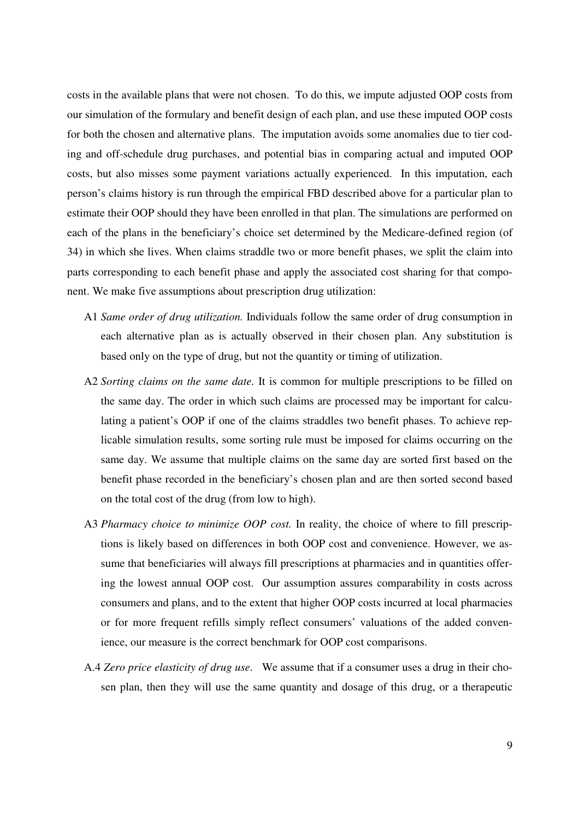costs in the available plans that were not chosen. To do this, we impute adjusted OOP costs from our simulation of the formulary and benefit design of each plan, and use these imputed OOP costs for both the chosen and alternative plans. The imputation avoids some anomalies due to tier coding and off-schedule drug purchases, and potential bias in comparing actual and imputed OOP costs, but also misses some payment variations actually experienced. In this imputation, each person's claims history is run through the empirical FBD described above for a particular plan to estimate their OOP should they have been enrolled in that plan. The simulations are performed on each of the plans in the beneficiary's choice set determined by the Medicare-defined region (of 34) in which she lives. When claims straddle two or more benefit phases, we split the claim into parts corresponding to each benefit phase and apply the associated cost sharing for that component. We make five assumptions about prescription drug utilization:

- A1 *Same order of drug utilization.* Individuals follow the same order of drug consumption in each alternative plan as is actually observed in their chosen plan. Any substitution is based only on the type of drug, but not the quantity or timing of utilization.
- A2 *Sorting claims on the same date.* It is common for multiple prescriptions to be filled on the same day. The order in which such claims are processed may be important for calculating a patient's OOP if one of the claims straddles two benefit phases. To achieve replicable simulation results, some sorting rule must be imposed for claims occurring on the same day. We assume that multiple claims on the same day are sorted first based on the benefit phase recorded in the beneficiary's chosen plan and are then sorted second based on the total cost of the drug (from low to high).
- A3 *Pharmacy choice to minimize OOP cost.* In reality, the choice of where to fill prescriptions is likely based on differences in both OOP cost and convenience. However, we assume that beneficiaries will always fill prescriptions at pharmacies and in quantities offering the lowest annual OOP cost. Our assumption assures comparability in costs across consumers and plans, and to the extent that higher OOP costs incurred at local pharmacies or for more frequent refills simply reflect consumers' valuations of the added convenience, our measure is the correct benchmark for OOP cost comparisons.
- A.4 *Zero price elasticity of drug use*. We assume that if a consumer uses a drug in their chosen plan, then they will use the same quantity and dosage of this drug, or a therapeutic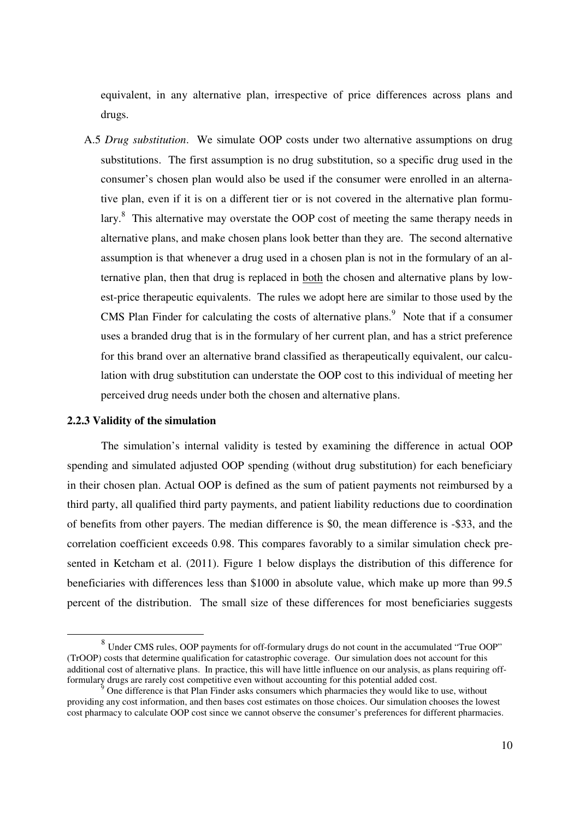equivalent, in any alternative plan, irrespective of price differences across plans and drugs.

A.5 *Drug substitution*. We simulate OOP costs under two alternative assumptions on drug substitutions. The first assumption is no drug substitution, so a specific drug used in the consumer's chosen plan would also be used if the consumer were enrolled in an alternative plan, even if it is on a different tier or is not covered in the alternative plan formulary.<sup>8</sup> This alternative may overstate the OOP cost of meeting the same therapy needs in alternative plans, and make chosen plans look better than they are. The second alternative assumption is that whenever a drug used in a chosen plan is not in the formulary of an alternative plan, then that drug is replaced in both the chosen and alternative plans by lowest-price therapeutic equivalents. The rules we adopt here are similar to those used by the CMS Plan Finder for calculating the costs of alternative plans. $9$  Note that if a consumer uses a branded drug that is in the formulary of her current plan, and has a strict preference for this brand over an alternative brand classified as therapeutically equivalent, our calculation with drug substitution can understate the OOP cost to this individual of meeting her perceived drug needs under both the chosen and alternative plans.

#### **2.2.3 Validity of the simulation**

 $\overline{a}$ 

The simulation's internal validity is tested by examining the difference in actual OOP spending and simulated adjusted OOP spending (without drug substitution) for each beneficiary in their chosen plan. Actual OOP is defined as the sum of patient payments not reimbursed by a third party, all qualified third party payments, and patient liability reductions due to coordination of benefits from other payers. The median difference is \$0, the mean difference is -\$33, and the correlation coefficient exceeds 0.98. This compares favorably to a similar simulation check presented in Ketcham et al. (2011). Figure 1 below displays the distribution of this difference for beneficiaries with differences less than \$1000 in absolute value, which make up more than 99.5 percent of the distribution. The small size of these differences for most beneficiaries suggests

<sup>&</sup>lt;sup>8</sup> Under CMS rules, OOP payments for off-formulary drugs do not count in the accumulated "True OOP" (TrOOP) costs that determine qualification for catastrophic coverage. Our simulation does not account for this additional cost of alternative plans. In practice, this will have little influence on our analysis, as plans requiring offformulary drugs are rarely cost competitive even without accounting for this potential added cost.

<sup>9</sup> One difference is that Plan Finder asks consumers which pharmacies they would like to use, without providing any cost information, and then bases cost estimates on those choices. Our simulation chooses the lowest cost pharmacy to calculate OOP cost since we cannot observe the consumer's preferences for different pharmacies.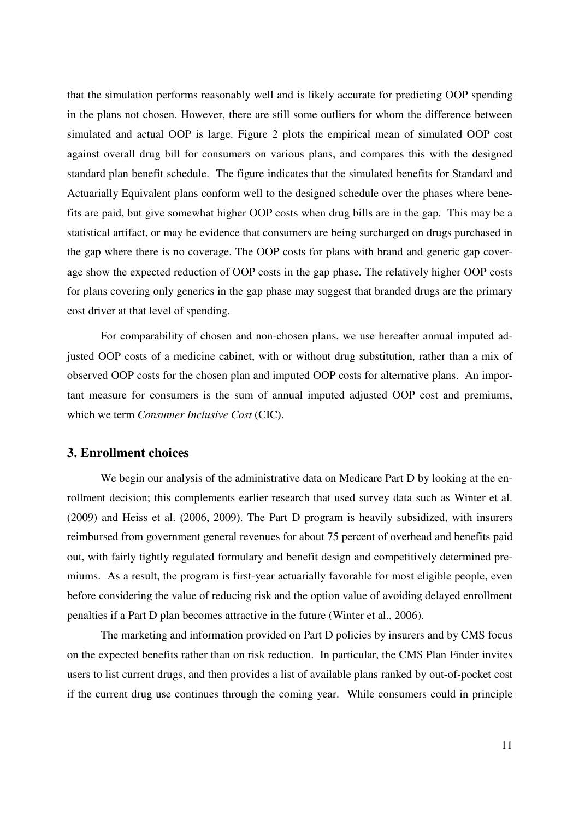that the simulation performs reasonably well and is likely accurate for predicting OOP spending in the plans not chosen. However, there are still some outliers for whom the difference between simulated and actual OOP is large. Figure 2 plots the empirical mean of simulated OOP cost against overall drug bill for consumers on various plans, and compares this with the designed standard plan benefit schedule. The figure indicates that the simulated benefits for Standard and Actuarially Equivalent plans conform well to the designed schedule over the phases where benefits are paid, but give somewhat higher OOP costs when drug bills are in the gap. This may be a statistical artifact, or may be evidence that consumers are being surcharged on drugs purchased in the gap where there is no coverage. The OOP costs for plans with brand and generic gap coverage show the expected reduction of OOP costs in the gap phase. The relatively higher OOP costs for plans covering only generics in the gap phase may suggest that branded drugs are the primary cost driver at that level of spending.

For comparability of chosen and non-chosen plans, we use hereafter annual imputed adjusted OOP costs of a medicine cabinet, with or without drug substitution, rather than a mix of observed OOP costs for the chosen plan and imputed OOP costs for alternative plans. An important measure for consumers is the sum of annual imputed adjusted OOP cost and premiums, which we term *Consumer Inclusive Cost* (CIC).

# **3. Enrollment choices**

We begin our analysis of the administrative data on Medicare Part D by looking at the enrollment decision; this complements earlier research that used survey data such as Winter et al. (2009) and Heiss et al. (2006, 2009). The Part D program is heavily subsidized, with insurers reimbursed from government general revenues for about 75 percent of overhead and benefits paid out, with fairly tightly regulated formulary and benefit design and competitively determined premiums. As a result, the program is first-year actuarially favorable for most eligible people, even before considering the value of reducing risk and the option value of avoiding delayed enrollment penalties if a Part D plan becomes attractive in the future (Winter et al., 2006).

The marketing and information provided on Part D policies by insurers and by CMS focus on the expected benefits rather than on risk reduction. In particular, the CMS Plan Finder invites users to list current drugs, and then provides a list of available plans ranked by out-of-pocket cost if the current drug use continues through the coming year. While consumers could in principle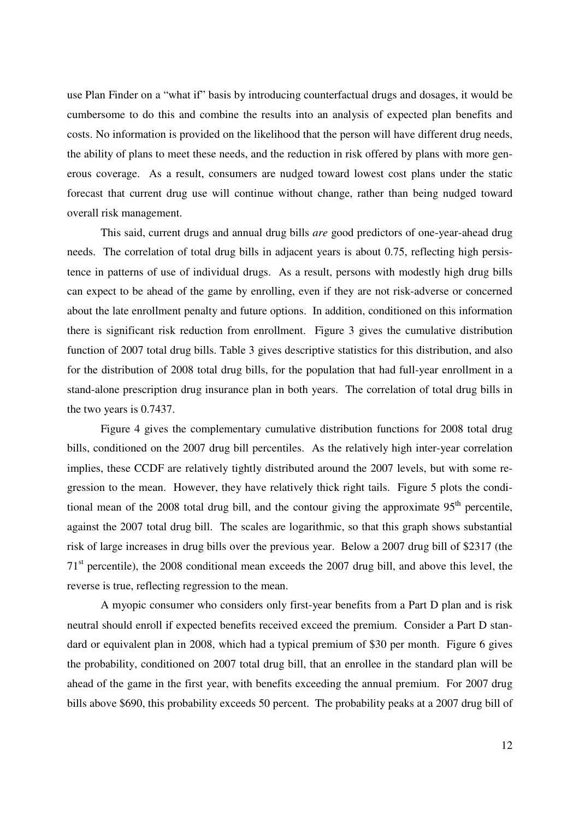use Plan Finder on a "what if" basis by introducing counterfactual drugs and dosages, it would be cumbersome to do this and combine the results into an analysis of expected plan benefits and costs. No information is provided on the likelihood that the person will have different drug needs, the ability of plans to meet these needs, and the reduction in risk offered by plans with more generous coverage. As a result, consumers are nudged toward lowest cost plans under the static forecast that current drug use will continue without change, rather than being nudged toward overall risk management.

This said, current drugs and annual drug bills *are* good predictors of one-year-ahead drug needs. The correlation of total drug bills in adjacent years is about 0.75, reflecting high persistence in patterns of use of individual drugs. As a result, persons with modestly high drug bills can expect to be ahead of the game by enrolling, even if they are not risk-adverse or concerned about the late enrollment penalty and future options. In addition, conditioned on this information there is significant risk reduction from enrollment. Figure 3 gives the cumulative distribution function of 2007 total drug bills. Table 3 gives descriptive statistics for this distribution, and also for the distribution of 2008 total drug bills, for the population that had full-year enrollment in a stand-alone prescription drug insurance plan in both years. The correlation of total drug bills in the two years is 0.7437.

Figure 4 gives the complementary cumulative distribution functions for 2008 total drug bills, conditioned on the 2007 drug bill percentiles. As the relatively high inter-year correlation implies, these CCDF are relatively tightly distributed around the 2007 levels, but with some regression to the mean. However, they have relatively thick right tails. Figure 5 plots the conditional mean of the 2008 total drug bill, and the contour giving the approximate  $95<sup>th</sup>$  percentile, against the 2007 total drug bill. The scales are logarithmic, so that this graph shows substantial risk of large increases in drug bills over the previous year. Below a 2007 drug bill of \$2317 (the 71<sup>st</sup> percentile), the 2008 conditional mean exceeds the 2007 drug bill, and above this level, the reverse is true, reflecting regression to the mean.

A myopic consumer who considers only first-year benefits from a Part D plan and is risk neutral should enroll if expected benefits received exceed the premium. Consider a Part D standard or equivalent plan in 2008, which had a typical premium of \$30 per month. Figure 6 gives the probability, conditioned on 2007 total drug bill, that an enrollee in the standard plan will be ahead of the game in the first year, with benefits exceeding the annual premium. For 2007 drug bills above \$690, this probability exceeds 50 percent. The probability peaks at a 2007 drug bill of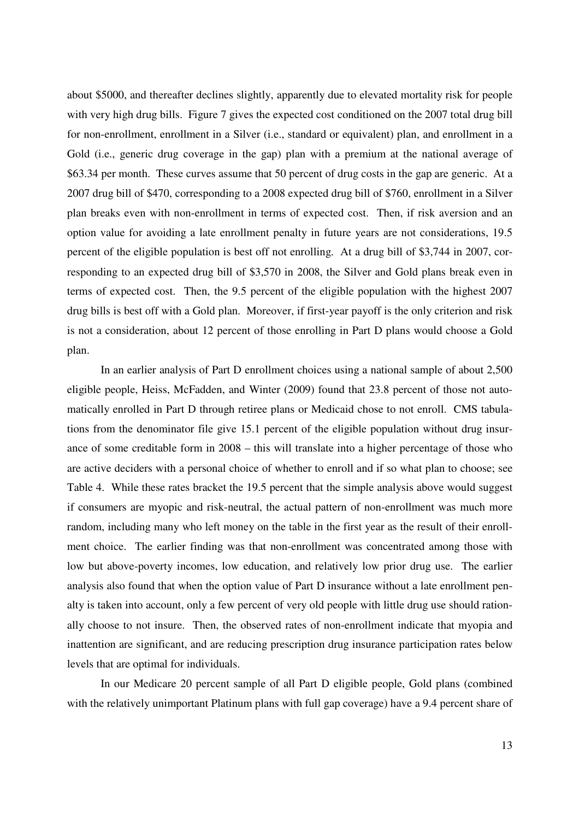about \$5000, and thereafter declines slightly, apparently due to elevated mortality risk for people with very high drug bills. Figure 7 gives the expected cost conditioned on the 2007 total drug bill for non-enrollment, enrollment in a Silver (i.e., standard or equivalent) plan, and enrollment in a Gold (i.e., generic drug coverage in the gap) plan with a premium at the national average of \$63.34 per month. These curves assume that 50 percent of drug costs in the gap are generic. At a 2007 drug bill of \$470, corresponding to a 2008 expected drug bill of \$760, enrollment in a Silver plan breaks even with non-enrollment in terms of expected cost. Then, if risk aversion and an option value for avoiding a late enrollment penalty in future years are not considerations, 19.5 percent of the eligible population is best off not enrolling. At a drug bill of \$3,744 in 2007, corresponding to an expected drug bill of \$3,570 in 2008, the Silver and Gold plans break even in terms of expected cost. Then, the 9.5 percent of the eligible population with the highest 2007 drug bills is best off with a Gold plan. Moreover, if first-year payoff is the only criterion and risk is not a consideration, about 12 percent of those enrolling in Part D plans would choose a Gold plan.

In an earlier analysis of Part D enrollment choices using a national sample of about 2,500 eligible people, Heiss, McFadden, and Winter (2009) found that 23.8 percent of those not automatically enrolled in Part D through retiree plans or Medicaid chose to not enroll. CMS tabulations from the denominator file give 15.1 percent of the eligible population without drug insurance of some creditable form in 2008 – this will translate into a higher percentage of those who are active deciders with a personal choice of whether to enroll and if so what plan to choose; see Table 4. While these rates bracket the 19.5 percent that the simple analysis above would suggest if consumers are myopic and risk-neutral, the actual pattern of non-enrollment was much more random, including many who left money on the table in the first year as the result of their enrollment choice. The earlier finding was that non-enrollment was concentrated among those with low but above-poverty incomes, low education, and relatively low prior drug use. The earlier analysis also found that when the option value of Part D insurance without a late enrollment penalty is taken into account, only a few percent of very old people with little drug use should rationally choose to not insure. Then, the observed rates of non-enrollment indicate that myopia and inattention are significant, and are reducing prescription drug insurance participation rates below levels that are optimal for individuals.

In our Medicare 20 percent sample of all Part D eligible people, Gold plans (combined with the relatively unimportant Platinum plans with full gap coverage) have a 9.4 percent share of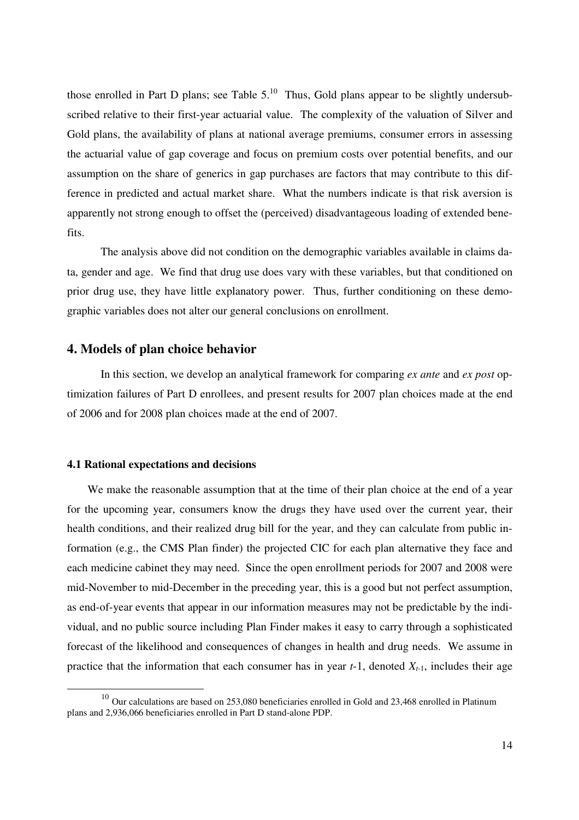those enrolled in Part D plans; see Table  $5<sup>10</sup>$  Thus, Gold plans appear to be slightly undersubscribed relative to their first-year actuarial value. The complexity of the valuation of Silver and Gold plans, the availability of plans at national average premiums, consumer errors in assessing the actuarial value of gap coverage and focus on premium costs over potential benefits, and our assumption on the share of generics in gap purchases are factors that may contribute to this difference in predicted and actual market share. What the numbers indicate is that risk aversion is apparently not strong enough to offset the (perceived) disadvantageous loading of extended benefits.

The analysis above did not condition on the demographic variables available in claims data, gender and age. We find that drug use does vary with these variables, but that conditioned on prior drug use, they have little explanatory power. Thus, further conditioning on these demographic variables does not alter our general conclusions on enrollment.

## **4. Models of plan choice behavior**

In this section, we develop an analytical framework for comparing *ex ante* and *ex post* optimization failures of Part D enrollees, and present results for 2007 plan choices made at the end of 2006 and for 2008 plan choices made at the end of 2007.

#### **4.1 Rational expectations and decisions**

 $\overline{a}$ 

We make the reasonable assumption that at the time of their plan choice at the end of a year for the upcoming year, consumers know the drugs they have used over the current year, their health conditions, and their realized drug bill for the year, and they can calculate from public information (e.g., the CMS Plan finder) the projected CIC for each plan alternative they face and each medicine cabinet they may need. Since the open enrollment periods for 2007 and 2008 were mid-November to mid-December in the preceding year, this is a good but not perfect assumption, as end-of-year events that appear in our information measures may not be predictable by the individual, and no public source including Plan Finder makes it easy to carry through a sophisticated forecast of the likelihood and consequences of changes in health and drug needs. We assume in practice that the information that each consumer has in year  $t-1$ , denoted  $X_{t-1}$ , includes their age

<sup>&</sup>lt;sup>10</sup> Our calculations are based on 253,080 beneficiaries enrolled in Gold and 23,468 enrolled in Platinum plans and 2,936,066 beneficiaries enrolled in Part D stand-alone PDP.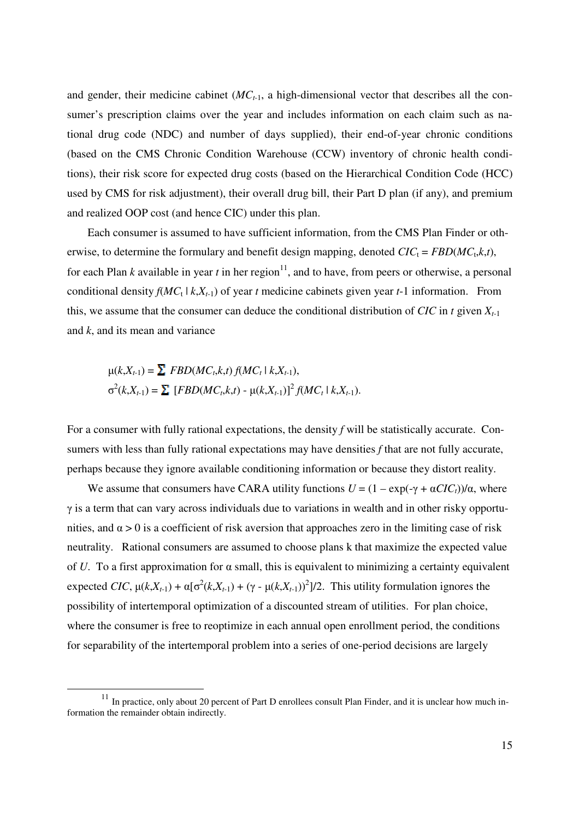and gender, their medicine cabinet (*MCt*-1, a high-dimensional vector that describes all the consumer's prescription claims over the year and includes information on each claim such as national drug code (NDC) and number of days supplied), their end-of-year chronic conditions (based on the CMS Chronic Condition Warehouse (CCW) inventory of chronic health conditions), their risk score for expected drug costs (based on the Hierarchical Condition Code (HCC) used by CMS for risk adjustment), their overall drug bill, their Part D plan (if any), and premium and realized OOP cost (and hence CIC) under this plan.

Each consumer is assumed to have sufficient information, from the CMS Plan Finder or otherwise, to determine the formulary and benefit design mapping, denoted  $CIC_t = FBD(MC_t, k, t)$ , for each Plan *k* available in year *t* in her region<sup>11</sup>, and to have, from peers or otherwise, a personal conditional density  $f(MC_t | k, X_{t-1})$  of year *t* medicine cabinets given year *t*-1 information. From this, we assume that the consumer can deduce the conditional distribution of  $CIC$  in *t* given  $X_{t-1}$ and *k*, and its mean and variance

$$
\mu(k, X_{t-1}) = \sum FBD(MC_t, k, t) f(MC_t | k, X_{t-1}),
$$
  
\n
$$
\sigma^2(k, X_{t-1}) = \sum [FBD(MC_t, k, t) - \mu(k, X_{t-1})]^2 f(MC_t | k, X_{t-1}).
$$

For a consumer with fully rational expectations, the density *f* will be statistically accurate. Consumers with less than fully rational expectations may have densities *f* that are not fully accurate, perhaps because they ignore available conditioning information or because they distort reality.

We assume that consumers have CARA utility functions  $U = (1 - \exp(-\gamma + \alpha CIC_t))/\alpha$ , where γ is a term that can vary across individuals due to variations in wealth and in other risky opportunities, and  $\alpha > 0$  is a coefficient of risk aversion that approaches zero in the limiting case of risk neutrality. Rational consumers are assumed to choose plans k that maximize the expected value of *U*. To a first approximation for  $\alpha$  small, this is equivalent to minimizing a certainty equivalent expected *CIC*,  $\mu(k, X_{t-1}) + \alpha[\sigma^2(k, X_{t-1}) + (\gamma - \mu(k, X_{t-1}))^2]/2$ . This utility formulation ignores the possibility of intertemporal optimization of a discounted stream of utilities. For plan choice, where the consumer is free to reoptimize in each annual open enrollment period, the conditions for separability of the intertemporal problem into a series of one-period decisions are largely

 $\overline{a}$ 

<sup>&</sup>lt;sup>11</sup> In practice, only about 20 percent of Part D enrollees consult Plan Finder, and it is unclear how much information the remainder obtain indirectly.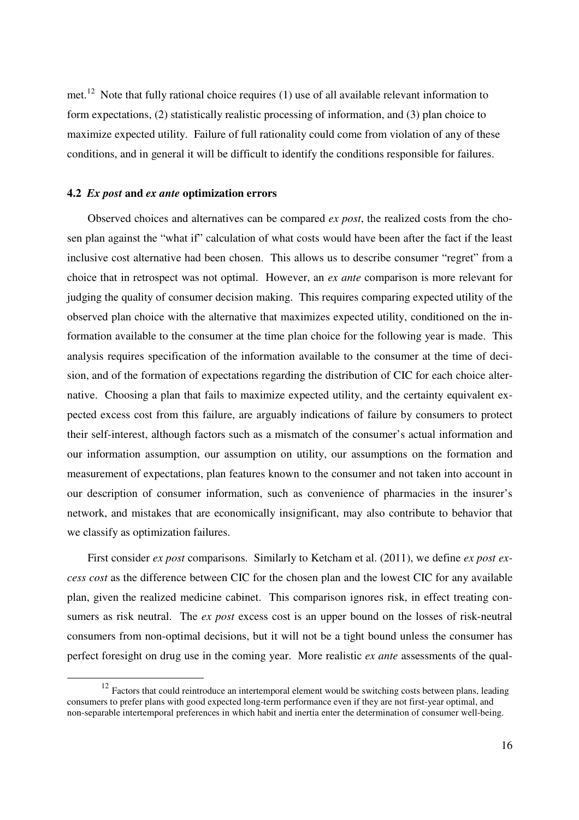met.<sup>12</sup> Note that fully rational choice requires (1) use of all available relevant information to form expectations, (2) statistically realistic processing of information, and (3) plan choice to maximize expected utility. Failure of full rationality could come from violation of any of these conditions, and in general it will be difficult to identify the conditions responsible for failures.

#### **4.2** *Ex post* **and** *ex ante* **optimization errors**

 $\overline{a}$ 

Observed choices and alternatives can be compared *ex post*, the realized costs from the chosen plan against the "what if" calculation of what costs would have been after the fact if the least inclusive cost alternative had been chosen. This allows us to describe consumer "regret" from a choice that in retrospect was not optimal. However, an *ex ante* comparison is more relevant for judging the quality of consumer decision making. This requires comparing expected utility of the observed plan choice with the alternative that maximizes expected utility, conditioned on the information available to the consumer at the time plan choice for the following year is made. This analysis requires specification of the information available to the consumer at the time of decision, and of the formation of expectations regarding the distribution of CIC for each choice alternative. Choosing a plan that fails to maximize expected utility, and the certainty equivalent expected excess cost from this failure, are arguably indications of failure by consumers to protect their self-interest, although factors such as a mismatch of the consumer's actual information and our information assumption, our assumption on utility, our assumptions on the formation and measurement of expectations, plan features known to the consumer and not taken into account in our description of consumer information, such as convenience of pharmacies in the insurer's network, and mistakes that are economically insignificant, may also contribute to behavior that we classify as optimization failures.

First consider *ex post* comparisons. Similarly to Ketcham et al. (2011), we define *ex post excess cost* as the difference between CIC for the chosen plan and the lowest CIC for any available plan, given the realized medicine cabinet. This comparison ignores risk, in effect treating consumers as risk neutral. The *ex post* excess cost is an upper bound on the losses of risk-neutral consumers from non-optimal decisions, but it will not be a tight bound unless the consumer has perfect foresight on drug use in the coming year. More realistic *ex ante* assessments of the qual-

 $12$  Factors that could reintroduce an intertemporal element would be switching costs between plans, leading consumers to prefer plans with good expected long-term performance even if they are not first-year optimal, and non-separable intertemporal preferences in which habit and inertia enter the determination of consumer well-being.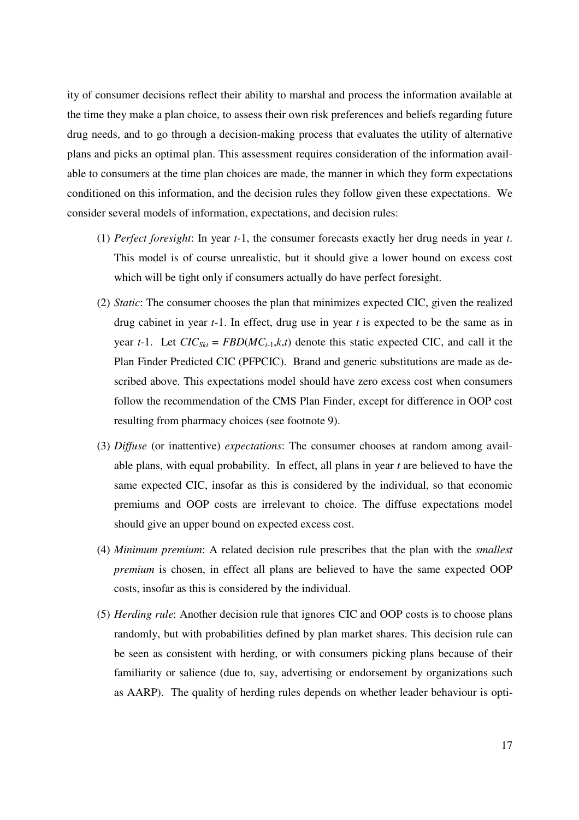ity of consumer decisions reflect their ability to marshal and process the information available at the time they make a plan choice, to assess their own risk preferences and beliefs regarding future drug needs, and to go through a decision-making process that evaluates the utility of alternative plans and picks an optimal plan. This assessment requires consideration of the information available to consumers at the time plan choices are made, the manner in which they form expectations conditioned on this information, and the decision rules they follow given these expectations. We consider several models of information, expectations, and decision rules:

- (1) *Perfect foresight*: In year *t*-1, the consumer forecasts exactly her drug needs in year *t*. This model is of course unrealistic, but it should give a lower bound on excess cost which will be tight only if consumers actually do have perfect foresight.
- (2) *Static*: The consumer chooses the plan that minimizes expected CIC, given the realized drug cabinet in year *t*-1. In effect, drug use in year *t* is expected to be the same as in year *t*-1. Let  $CIC_{Skt} = FBD(MC_{t-1}, k, t)$  denote this static expected CIC, and call it the Plan Finder Predicted CIC (PFPCIC). Brand and generic substitutions are made as described above. This expectations model should have zero excess cost when consumers follow the recommendation of the CMS Plan Finder, except for difference in OOP cost resulting from pharmacy choices (see footnote 9).
- (3) *Diffuse* (or inattentive) *expectations*: The consumer chooses at random among available plans, with equal probability. In effect, all plans in year *t* are believed to have the same expected CIC, insofar as this is considered by the individual, so that economic premiums and OOP costs are irrelevant to choice. The diffuse expectations model should give an upper bound on expected excess cost.
- (4) *Minimum premium*: A related decision rule prescribes that the plan with the *smallest premium* is chosen, in effect all plans are believed to have the same expected OOP costs, insofar as this is considered by the individual.
- (5) *Herding rule*: Another decision rule that ignores CIC and OOP costs is to choose plans randomly, but with probabilities defined by plan market shares. This decision rule can be seen as consistent with herding, or with consumers picking plans because of their familiarity or salience (due to, say, advertising or endorsement by organizations such as AARP). The quality of herding rules depends on whether leader behaviour is opti-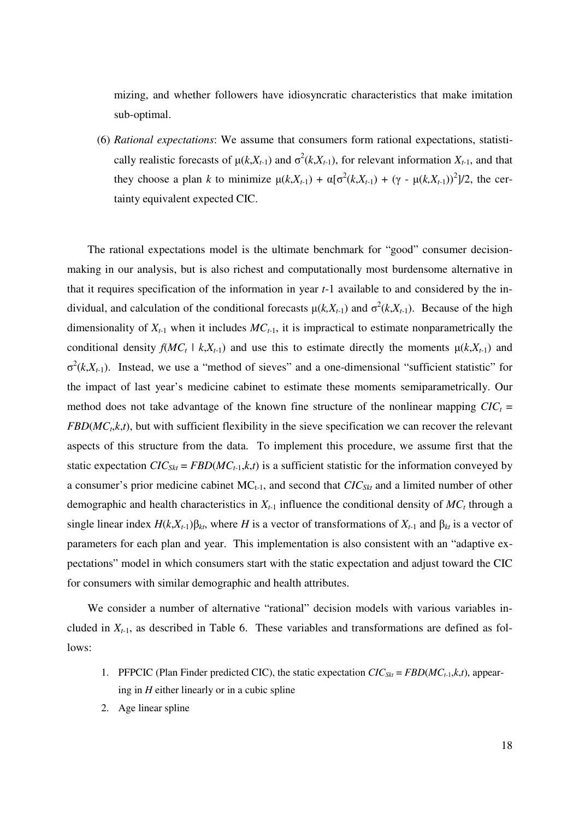mizing, and whether followers have idiosyncratic characteristics that make imitation sub-optimal.

(6) *Rational expectations*: We assume that consumers form rational expectations, statistically realistic forecasts of  $\mu(k, X_{t-1})$  and  $\sigma^2(k, X_{t-1})$ , for relevant information  $X_{t-1}$ , and that they choose a plan *k* to minimize  $\mu(k, X_{t-1}) + \alpha[\sigma^2(k, X_{t-1}) + (\gamma - \mu(k, X_{t-1}))^2]/2$ , the certainty equivalent expected CIC.

The rational expectations model is the ultimate benchmark for "good" consumer decisionmaking in our analysis, but is also richest and computationally most burdensome alternative in that it requires specification of the information in year *t*-1 available to and considered by the individual, and calculation of the conditional forecasts  $\mu(k, X_{t-1})$  and  $\sigma^2(k, X_{t-1})$ . Because of the high dimensionality of  $X_{t-1}$  when it includes  $MC_{t-1}$ , it is impractical to estimate nonparametrically the conditional density  $f(MC_t | k, X_{t-1})$  and use this to estimate directly the moments  $\mu(k, X_{t-1})$  and  $\sigma^2(k, X_{t-1})$ . Instead, we use a "method of sieves" and a one-dimensional "sufficient statistic" for the impact of last year's medicine cabinet to estimate these moments semiparametrically. Our method does not take advantage of the known fine structure of the nonlinear mapping  $CIC_t$  = *FBD*(*MC<sup>t</sup>* ,*k*,*t*), but with sufficient flexibility in the sieve specification we can recover the relevant aspects of this structure from the data. To implement this procedure, we assume first that the static expectation  $CIC_{Skt} = FBD(MC_{t-1}, k, t)$  is a sufficient statistic for the information conveyed by a consumer's prior medicine cabinet  $MC_{t-1}$ , and second that  $CIC_{Skt}$  and a limited number of other demographic and health characteristics in  $X_{t-1}$  influence the conditional density of  $MC_t$  through a single linear index  $H(k, X_{t-1})\beta_{kt}$ , where *H* is a vector of transformations of  $X_{t-1}$  and  $\beta_{kt}$  is a vector of parameters for each plan and year. This implementation is also consistent with an "adaptive expectations" model in which consumers start with the static expectation and adjust toward the CIC for consumers with similar demographic and health attributes.

We consider a number of alternative "rational" decision models with various variables included in  $X_{t-1}$ , as described in Table 6. These variables and transformations are defined as follows:

- 1. PFPCIC (Plan Finder predicted CIC), the static expectation  $CIC_{Skt} = FBD(MC_{t-1}, k, t)$ , appearing in *H* either linearly or in a cubic spline
- 2. Age linear spline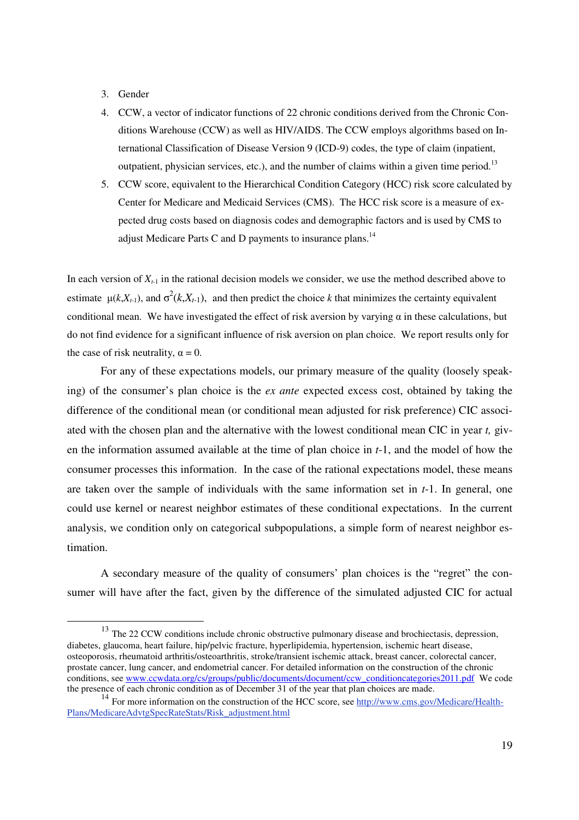## 3. Gender

 $\overline{a}$ 

- 4. CCW, a vector of indicator functions of 22 chronic conditions derived from the Chronic Conditions Warehouse (CCW) as well as HIV/AIDS. The CCW employs algorithms based on International Classification of Disease Version 9 (ICD-9) codes, the type of claim (inpatient, outpatient, physician services, etc.), and the number of claims within a given time period.<sup>13</sup>
- 5. CCW score, equivalent to the Hierarchical Condition Category (HCC) risk score calculated by Center for Medicare and Medicaid Services (CMS). The HCC risk score is a measure of expected drug costs based on diagnosis codes and demographic factors and is used by CMS to adjust Medicare Parts C and D payments to insurance plans.<sup>14</sup>

In each version of  $X_{t-1}$  in the rational decision models we consider, we use the method described above to estimate  $\mu(k, X_{t-1})$ , and  $\sigma^2(k, X_{t-1})$ , and then predict the choice *k* that minimizes the certainty equivalent conditional mean. We have investigated the effect of risk aversion by varying  $\alpha$  in these calculations, but do not find evidence for a significant influence of risk aversion on plan choice. We report results only for the case of risk neutrality,  $\alpha = 0$ .

For any of these expectations models, our primary measure of the quality (loosely speaking) of the consumer's plan choice is the *ex ante* expected excess cost, obtained by taking the difference of the conditional mean (or conditional mean adjusted for risk preference) CIC associated with the chosen plan and the alternative with the lowest conditional mean CIC in year *t,* given the information assumed available at the time of plan choice in *t*-1, and the model of how the consumer processes this information. In the case of the rational expectations model, these means are taken over the sample of individuals with the same information set in *t*-1. In general, one could use kernel or nearest neighbor estimates of these conditional expectations. In the current analysis, we condition only on categorical subpopulations, a simple form of nearest neighbor estimation.

A secondary measure of the quality of consumers' plan choices is the "regret" the consumer will have after the fact, given by the difference of the simulated adjusted CIC for actual

<sup>&</sup>lt;sup>13</sup> The 22 CCW conditions include chronic obstructive pulmonary disease and brochiectasis, depression, diabetes, glaucoma, heart failure, hip/pelvic fracture, hyperlipidemia, hypertension, ischemic heart disease, osteoporosis, rheumatoid arthritis/osteoarthritis, stroke/transient ischemic attack, breast cancer, colorectal cancer, prostate cancer, lung cancer, and endometrial cancer. For detailed information on the construction of the chronic conditions, see www.ccwdata.org/cs/groups/public/documents/document/ccw\_conditioncategories2011.pdf We code the presence of each chronic condition as of December 31 of the year that plan choices are made.

<sup>&</sup>lt;sup>14</sup> For more information on the construction of the HCC score, see http://www.cms.gov/Medicare/Health-Plans/MedicareAdvtgSpecRateStats/Risk\_adjustment.html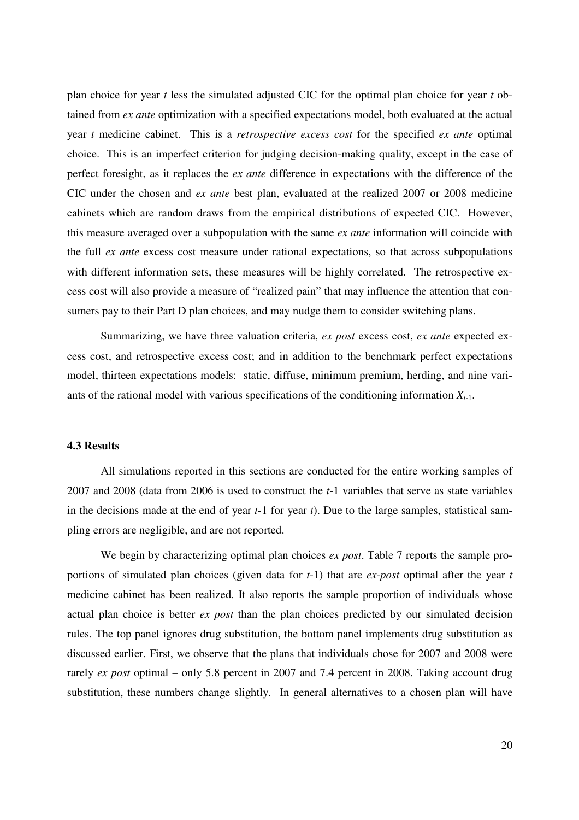plan choice for year *t* less the simulated adjusted CIC for the optimal plan choice for year *t* obtained from *ex ante* optimization with a specified expectations model, both evaluated at the actual year *t* medicine cabinet. This is a *retrospective excess cost* for the specified *ex ante* optimal choice. This is an imperfect criterion for judging decision-making quality, except in the case of perfect foresight, as it replaces the *ex ante* difference in expectations with the difference of the CIC under the chosen and *ex ante* best plan, evaluated at the realized 2007 or 2008 medicine cabinets which are random draws from the empirical distributions of expected CIC. However, this measure averaged over a subpopulation with the same *ex ante* information will coincide with the full *ex ante* excess cost measure under rational expectations, so that across subpopulations with different information sets, these measures will be highly correlated. The retrospective excess cost will also provide a measure of "realized pain" that may influence the attention that consumers pay to their Part D plan choices, and may nudge them to consider switching plans.

Summarizing, we have three valuation criteria, *ex post* excess cost, *ex ante* expected excess cost, and retrospective excess cost; and in addition to the benchmark perfect expectations model, thirteen expectations models: static, diffuse, minimum premium, herding, and nine variants of the rational model with various specifications of the conditioning information  $X_{t-1}$ .

## **4.3 Results**

All simulations reported in this sections are conducted for the entire working samples of 2007 and 2008 (data from 2006 is used to construct the *t*-1 variables that serve as state variables in the decisions made at the end of year *t*-1 for year *t*). Due to the large samples, statistical sampling errors are negligible, and are not reported.

We begin by characterizing optimal plan choices *ex post*. Table 7 reports the sample proportions of simulated plan choices (given data for *t*-1) that are *ex-post* optimal after the year *t* medicine cabinet has been realized. It also reports the sample proportion of individuals whose actual plan choice is better *ex post* than the plan choices predicted by our simulated decision rules. The top panel ignores drug substitution, the bottom panel implements drug substitution as discussed earlier. First, we observe that the plans that individuals chose for 2007 and 2008 were rarely *ex post* optimal – only 5.8 percent in 2007 and 7.4 percent in 2008. Taking account drug substitution, these numbers change slightly. In general alternatives to a chosen plan will have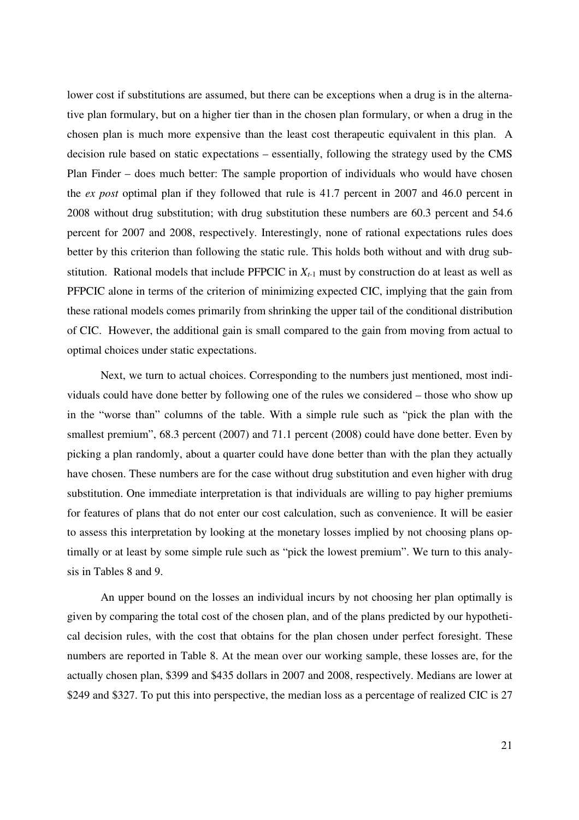lower cost if substitutions are assumed, but there can be exceptions when a drug is in the alternative plan formulary, but on a higher tier than in the chosen plan formulary, or when a drug in the chosen plan is much more expensive than the least cost therapeutic equivalent in this plan. A decision rule based on static expectations – essentially, following the strategy used by the CMS Plan Finder – does much better: The sample proportion of individuals who would have chosen the *ex post* optimal plan if they followed that rule is 41.7 percent in 2007 and 46.0 percent in 2008 without drug substitution; with drug substitution these numbers are 60.3 percent and 54.6 percent for 2007 and 2008, respectively. Interestingly, none of rational expectations rules does better by this criterion than following the static rule. This holds both without and with drug substitution. Rational models that include PFPCIC in  $X_{t-1}$  must by construction do at least as well as PFPCIC alone in terms of the criterion of minimizing expected CIC, implying that the gain from these rational models comes primarily from shrinking the upper tail of the conditional distribution of CIC. However, the additional gain is small compared to the gain from moving from actual to optimal choices under static expectations.

Next, we turn to actual choices. Corresponding to the numbers just mentioned, most individuals could have done better by following one of the rules we considered – those who show up in the "worse than" columns of the table. With a simple rule such as "pick the plan with the smallest premium", 68.3 percent (2007) and 71.1 percent (2008) could have done better. Even by picking a plan randomly, about a quarter could have done better than with the plan they actually have chosen. These numbers are for the case without drug substitution and even higher with drug substitution. One immediate interpretation is that individuals are willing to pay higher premiums for features of plans that do not enter our cost calculation, such as convenience. It will be easier to assess this interpretation by looking at the monetary losses implied by not choosing plans optimally or at least by some simple rule such as "pick the lowest premium". We turn to this analysis in Tables 8 and 9.

An upper bound on the losses an individual incurs by not choosing her plan optimally is given by comparing the total cost of the chosen plan, and of the plans predicted by our hypothetical decision rules, with the cost that obtains for the plan chosen under perfect foresight. These numbers are reported in Table 8. At the mean over our working sample, these losses are, for the actually chosen plan, \$399 and \$435 dollars in 2007 and 2008, respectively. Medians are lower at \$249 and \$327. To put this into perspective, the median loss as a percentage of realized CIC is 27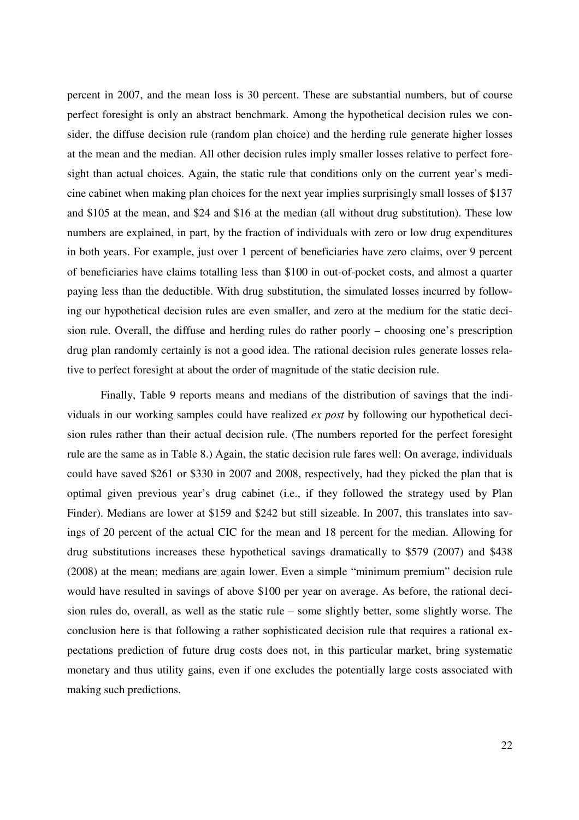percent in 2007, and the mean loss is 30 percent. These are substantial numbers, but of course perfect foresight is only an abstract benchmark. Among the hypothetical decision rules we consider, the diffuse decision rule (random plan choice) and the herding rule generate higher losses at the mean and the median. All other decision rules imply smaller losses relative to perfect foresight than actual choices. Again, the static rule that conditions only on the current year's medicine cabinet when making plan choices for the next year implies surprisingly small losses of \$137 and \$105 at the mean, and \$24 and \$16 at the median (all without drug substitution). These low numbers are explained, in part, by the fraction of individuals with zero or low drug expenditures in both years. For example, just over 1 percent of beneficiaries have zero claims, over 9 percent of beneficiaries have claims totalling less than \$100 in out-of-pocket costs, and almost a quarter paying less than the deductible. With drug substitution, the simulated losses incurred by following our hypothetical decision rules are even smaller, and zero at the medium for the static decision rule. Overall, the diffuse and herding rules do rather poorly – choosing one's prescription drug plan randomly certainly is not a good idea. The rational decision rules generate losses relative to perfect foresight at about the order of magnitude of the static decision rule.

Finally, Table 9 reports means and medians of the distribution of savings that the individuals in our working samples could have realized *ex post* by following our hypothetical decision rules rather than their actual decision rule. (The numbers reported for the perfect foresight rule are the same as in Table 8.) Again, the static decision rule fares well: On average, individuals could have saved \$261 or \$330 in 2007 and 2008, respectively, had they picked the plan that is optimal given previous year's drug cabinet (i.e., if they followed the strategy used by Plan Finder). Medians are lower at \$159 and \$242 but still sizeable. In 2007, this translates into savings of 20 percent of the actual CIC for the mean and 18 percent for the median. Allowing for drug substitutions increases these hypothetical savings dramatically to \$579 (2007) and \$438 (2008) at the mean; medians are again lower. Even a simple "minimum premium" decision rule would have resulted in savings of above \$100 per year on average. As before, the rational decision rules do, overall, as well as the static rule – some slightly better, some slightly worse. The conclusion here is that following a rather sophisticated decision rule that requires a rational expectations prediction of future drug costs does not, in this particular market, bring systematic monetary and thus utility gains, even if one excludes the potentially large costs associated with making such predictions.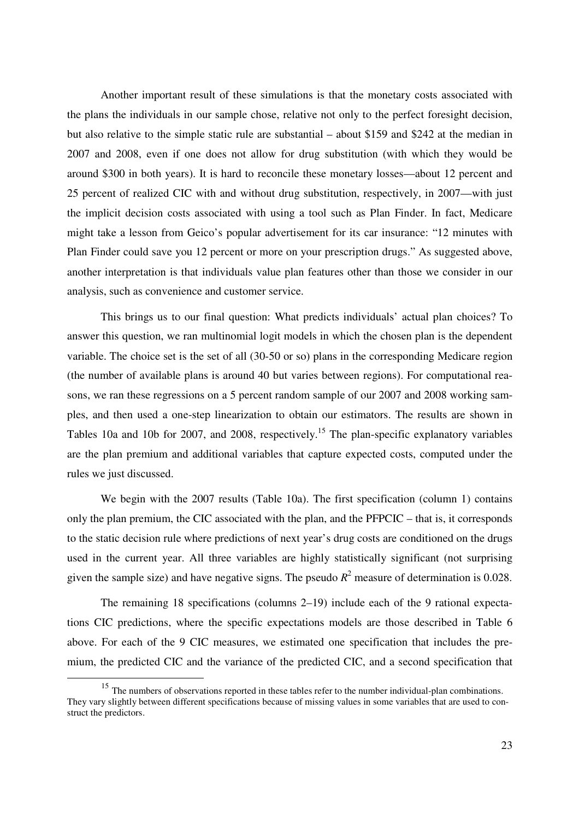Another important result of these simulations is that the monetary costs associated with the plans the individuals in our sample chose, relative not only to the perfect foresight decision, but also relative to the simple static rule are substantial – about \$159 and \$242 at the median in 2007 and 2008, even if one does not allow for drug substitution (with which they would be around \$300 in both years). It is hard to reconcile these monetary losses—about 12 percent and 25 percent of realized CIC with and without drug substitution, respectively, in 2007—with just the implicit decision costs associated with using a tool such as Plan Finder. In fact, Medicare might take a lesson from Geico's popular advertisement for its car insurance: "12 minutes with Plan Finder could save you 12 percent or more on your prescription drugs." As suggested above, another interpretation is that individuals value plan features other than those we consider in our analysis, such as convenience and customer service.

This brings us to our final question: What predicts individuals' actual plan choices? To answer this question, we ran multinomial logit models in which the chosen plan is the dependent variable. The choice set is the set of all (30-50 or so) plans in the corresponding Medicare region (the number of available plans is around 40 but varies between regions). For computational reasons, we ran these regressions on a 5 percent random sample of our 2007 and 2008 working samples, and then used a one-step linearization to obtain our estimators. The results are shown in Tables 10a and 10b for 2007, and 2008, respectively.<sup>15</sup> The plan-specific explanatory variables are the plan premium and additional variables that capture expected costs, computed under the rules we just discussed.

We begin with the 2007 results (Table 10a). The first specification (column 1) contains only the plan premium, the CIC associated with the plan, and the PFPCIC – that is, it corresponds to the static decision rule where predictions of next year's drug costs are conditioned on the drugs used in the current year. All three variables are highly statistically significant (not surprising given the sample size) and have negative signs. The pseudo  $R^2$  measure of determination is 0.028.

The remaining 18 specifications (columns 2–19) include each of the 9 rational expectations CIC predictions, where the specific expectations models are those described in Table 6 above. For each of the 9 CIC measures, we estimated one specification that includes the premium, the predicted CIC and the variance of the predicted CIC, and a second specification that

 $\overline{a}$ 

<sup>&</sup>lt;sup>15</sup> The numbers of observations reported in these tables refer to the number individual-plan combinations. They vary slightly between different specifications because of missing values in some variables that are used to construct the predictors.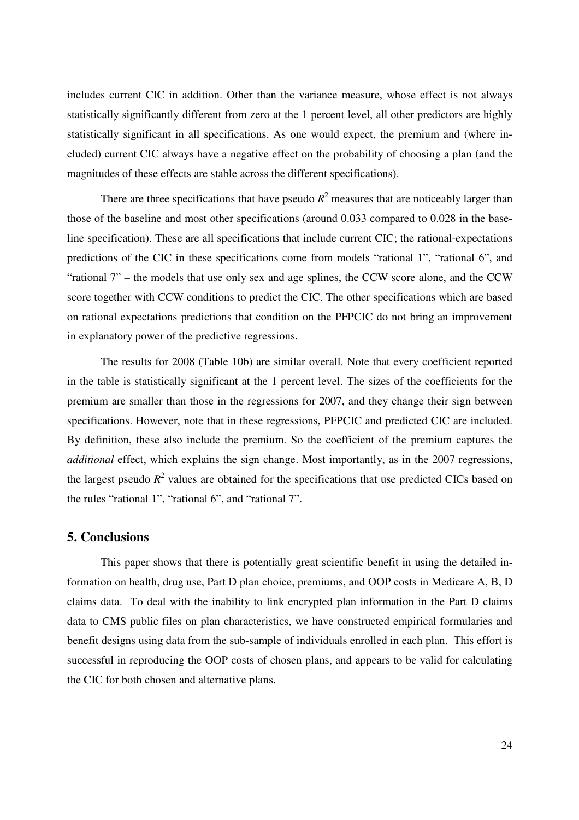includes current CIC in addition. Other than the variance measure, whose effect is not always statistically significantly different from zero at the 1 percent level, all other predictors are highly statistically significant in all specifications. As one would expect, the premium and (where included) current CIC always have a negative effect on the probability of choosing a plan (and the magnitudes of these effects are stable across the different specifications).

There are three specifications that have pseudo  $R^2$  measures that are noticeably larger than those of the baseline and most other specifications (around 0.033 compared to 0.028 in the baseline specification). These are all specifications that include current CIC; the rational-expectations predictions of the CIC in these specifications come from models "rational 1", "rational 6", and "rational 7" – the models that use only sex and age splines, the CCW score alone, and the CCW score together with CCW conditions to predict the CIC. The other specifications which are based on rational expectations predictions that condition on the PFPCIC do not bring an improvement in explanatory power of the predictive regressions.

The results for 2008 (Table 10b) are similar overall. Note that every coefficient reported in the table is statistically significant at the 1 percent level. The sizes of the coefficients for the premium are smaller than those in the regressions for 2007, and they change their sign between specifications. However, note that in these regressions, PFPCIC and predicted CIC are included. By definition, these also include the premium. So the coefficient of the premium captures the *additional* effect, which explains the sign change. Most importantly, as in the 2007 regressions, the largest pseudo  $R^2$  values are obtained for the specifications that use predicted CICs based on the rules "rational 1", "rational 6", and "rational 7".

## **5. Conclusions**

This paper shows that there is potentially great scientific benefit in using the detailed information on health, drug use, Part D plan choice, premiums, and OOP costs in Medicare A, B, D claims data. To deal with the inability to link encrypted plan information in the Part D claims data to CMS public files on plan characteristics, we have constructed empirical formularies and benefit designs using data from the sub-sample of individuals enrolled in each plan. This effort is successful in reproducing the OOP costs of chosen plans, and appears to be valid for calculating the CIC for both chosen and alternative plans.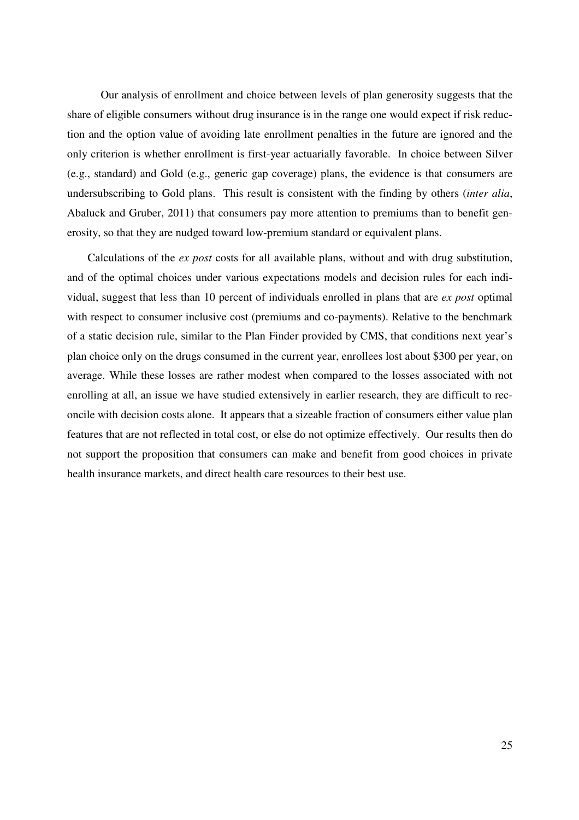Our analysis of enrollment and choice between levels of plan generosity suggests that the share of eligible consumers without drug insurance is in the range one would expect if risk reduction and the option value of avoiding late enrollment penalties in the future are ignored and the only criterion is whether enrollment is first-year actuarially favorable. In choice between Silver (e.g., standard) and Gold (e.g., generic gap coverage) plans, the evidence is that consumers are undersubscribing to Gold plans. This result is consistent with the finding by others (*inter alia*, Abaluck and Gruber, 2011) that consumers pay more attention to premiums than to benefit generosity, so that they are nudged toward low-premium standard or equivalent plans.

Calculations of the *ex post* costs for all available plans, without and with drug substitution, and of the optimal choices under various expectations models and decision rules for each individual, suggest that less than 10 percent of individuals enrolled in plans that are *ex post* optimal with respect to consumer inclusive cost (premiums and co-payments). Relative to the benchmark of a static decision rule, similar to the Plan Finder provided by CMS, that conditions next year's plan choice only on the drugs consumed in the current year, enrollees lost about \$300 per year, on average. While these losses are rather modest when compared to the losses associated with not enrolling at all, an issue we have studied extensively in earlier research, they are difficult to reconcile with decision costs alone. It appears that a sizeable fraction of consumers either value plan features that are not reflected in total cost, or else do not optimize effectively. Our results then do not support the proposition that consumers can make and benefit from good choices in private health insurance markets, and direct health care resources to their best use.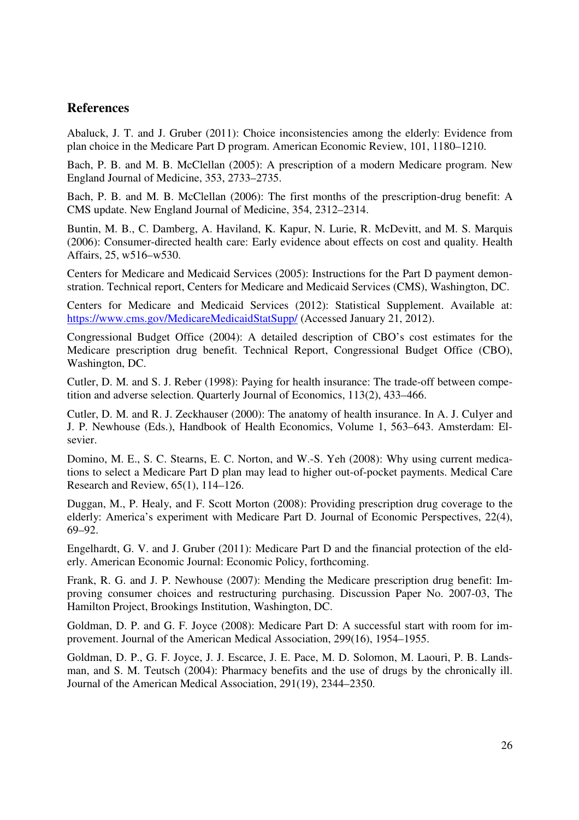# **References**

Abaluck, J. T. and J. Gruber (2011): Choice inconsistencies among the elderly: Evidence from plan choice in the Medicare Part D program. American Economic Review, 101, 1180–1210.

Bach, P. B. and M. B. McClellan (2005): A prescription of a modern Medicare program. New England Journal of Medicine, 353, 2733–2735.

Bach, P. B. and M. B. McClellan (2006): The first months of the prescription-drug benefit: A CMS update. New England Journal of Medicine, 354, 2312–2314.

Buntin, M. B., C. Damberg, A. Haviland, K. Kapur, N. Lurie, R. McDevitt, and M. S. Marquis (2006): Consumer-directed health care: Early evidence about effects on cost and quality. Health Affairs, 25, w516–w530.

Centers for Medicare and Medicaid Services (2005): Instructions for the Part D payment demonstration. Technical report, Centers for Medicare and Medicaid Services (CMS), Washington, DC.

Centers for Medicare and Medicaid Services (2012): Statistical Supplement. Available at: https://www.cms.gov/MedicareMedicaidStatSupp/ (Accessed January 21, 2012).

Congressional Budget Office (2004): A detailed description of CBO's cost estimates for the Medicare prescription drug benefit. Technical Report, Congressional Budget Office (CBO), Washington, DC.

Cutler, D. M. and S. J. Reber (1998): Paying for health insurance: The trade-off between competition and adverse selection. Quarterly Journal of Economics, 113(2), 433–466.

Cutler, D. M. and R. J. Zeckhauser (2000): The anatomy of health insurance. In A. J. Culyer and J. P. Newhouse (Eds.), Handbook of Health Economics, Volume 1, 563–643. Amsterdam: Elsevier.

Domino, M. E., S. C. Stearns, E. C. Norton, and W.-S. Yeh (2008): Why using current medications to select a Medicare Part D plan may lead to higher out-of-pocket payments. Medical Care Research and Review, 65(1), 114–126.

Duggan, M., P. Healy, and F. Scott Morton (2008): Providing prescription drug coverage to the elderly: America's experiment with Medicare Part D. Journal of Economic Perspectives, 22(4), 69–92.

Engelhardt, G. V. and J. Gruber (2011): Medicare Part D and the financial protection of the elderly. American Economic Journal: Economic Policy, forthcoming.

Frank, R. G. and J. P. Newhouse (2007): Mending the Medicare prescription drug benefit: Improving consumer choices and restructuring purchasing. Discussion Paper No. 2007-03, The Hamilton Project, Brookings Institution, Washington, DC.

Goldman, D. P. and G. F. Joyce (2008): Medicare Part D: A successful start with room for improvement. Journal of the American Medical Association, 299(16), 1954–1955.

Goldman, D. P., G. F. Joyce, J. J. Escarce, J. E. Pace, M. D. Solomon, M. Laouri, P. B. Landsman, and S. M. Teutsch (2004): Pharmacy benefits and the use of drugs by the chronically ill. Journal of the American Medical Association, 291(19), 2344–2350.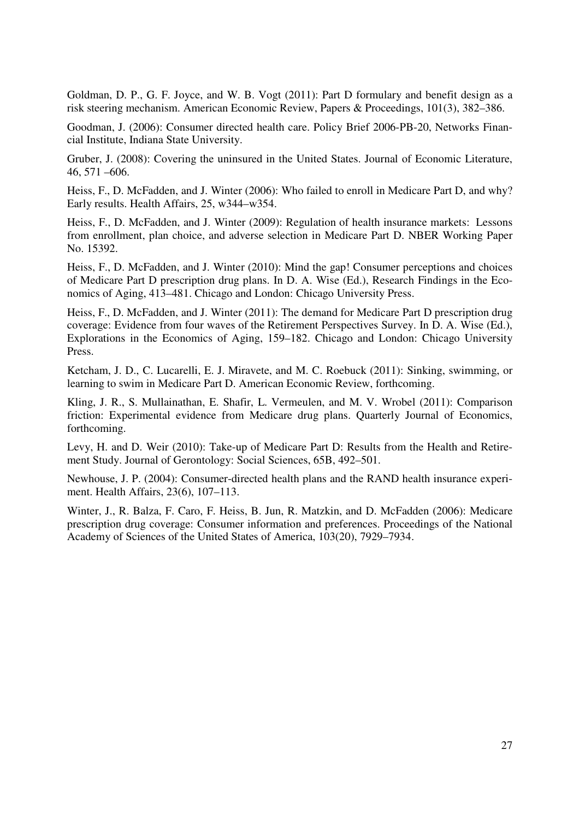Goldman, D. P., G. F. Joyce, and W. B. Vogt (2011): Part D formulary and benefit design as a risk steering mechanism. American Economic Review, Papers & Proceedings, 101(3), 382–386.

Goodman, J. (2006): Consumer directed health care. Policy Brief 2006-PB-20, Networks Financial Institute, Indiana State University.

Gruber, J. (2008): Covering the uninsured in the United States. Journal of Economic Literature, 46, 571 –606.

Heiss, F., D. McFadden, and J. Winter (2006): Who failed to enroll in Medicare Part D, and why? Early results. Health Affairs, 25, w344–w354.

Heiss, F., D. McFadden, and J. Winter (2009): Regulation of health insurance markets: Lessons from enrollment, plan choice, and adverse selection in Medicare Part D. NBER Working Paper No. 15392.

Heiss, F., D. McFadden, and J. Winter (2010): Mind the gap! Consumer perceptions and choices of Medicare Part D prescription drug plans. In D. A. Wise (Ed.), Research Findings in the Economics of Aging, 413–481. Chicago and London: Chicago University Press.

Heiss, F., D. McFadden, and J. Winter (2011): The demand for Medicare Part D prescription drug coverage: Evidence from four waves of the Retirement Perspectives Survey. In D. A. Wise (Ed.), Explorations in the Economics of Aging, 159–182. Chicago and London: Chicago University Press.

Ketcham, J. D., C. Lucarelli, E. J. Miravete, and M. C. Roebuck (2011): Sinking, swimming, or learning to swim in Medicare Part D. American Economic Review, forthcoming.

Kling, J. R., S. Mullainathan, E. Shafir, L. Vermeulen, and M. V. Wrobel (2011): Comparison friction: Experimental evidence from Medicare drug plans. Quarterly Journal of Economics, forthcoming.

Levy, H. and D. Weir (2010): Take-up of Medicare Part D: Results from the Health and Retirement Study. Journal of Gerontology: Social Sciences, 65B, 492–501.

Newhouse, J. P. (2004): Consumer-directed health plans and the RAND health insurance experiment. Health Affairs, 23(6), 107–113.

Winter, J., R. Balza, F. Caro, F. Heiss, B. Jun, R. Matzkin, and D. McFadden (2006): Medicare prescription drug coverage: Consumer information and preferences. Proceedings of the National Academy of Sciences of the United States of America, 103(20), 7929–7934.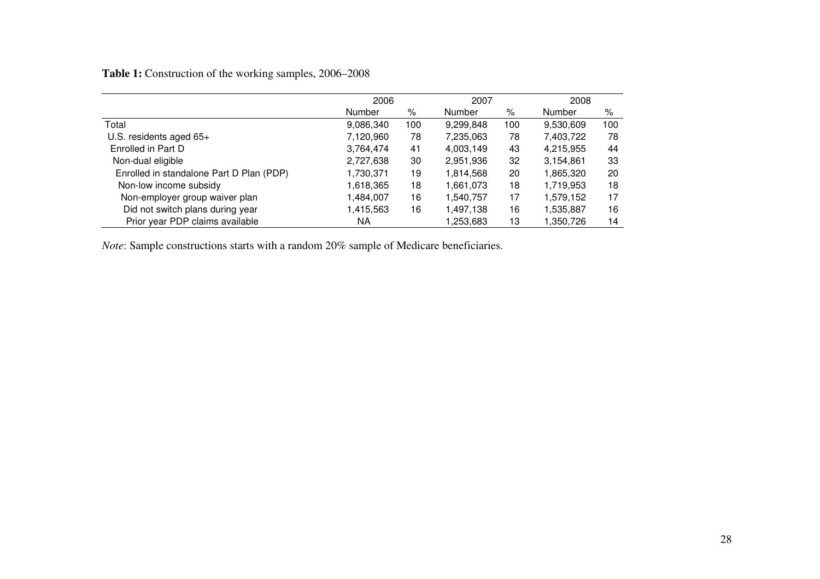# **Table 1:** Construction of the working samples, 2006–2008

|                                          | 2006      |     | 2007      |     | 2008      |     |
|------------------------------------------|-----------|-----|-----------|-----|-----------|-----|
|                                          | Number    | %   | Number    | %   | Number    | %   |
| Total                                    | 9,086,340 | 100 | 9,299,848 | 100 | 9,530,609 | 100 |
| U.S. residents aged $65+$                | 7,120,960 | 78  | 7,235,063 | 78  | 7,403,722 | 78  |
| Enrolled in Part D                       | 3,764,474 | 41  | 4,003,149 | 43  | 4,215,955 | 44  |
| Non-dual eligible                        | 2,727,638 | 30  | 2,951,936 | 32  | 3,154,861 | 33  |
| Enrolled in standalone Part D Plan (PDP) | 1,730,371 | 19  | 1,814,568 | 20  | 1,865,320 | 20  |
| Non-low income subsidy                   | 1,618,365 | 18  | 1,661,073 | 18  | 1,719,953 | 18  |
| Non-employer group waiver plan           | 1,484,007 | 16  | 1,540,757 | 17  | 1,579,152 | 17  |
| Did not switch plans during year         | 1,415,563 | 16  | 1,497,138 | 16  | 1,535,887 | 16  |
| Prior year PDP claims available          | ΝA        |     | 1,253,683 | 13  | 1,350,726 | 14  |

*Note*: Sample constructions starts with a random 20% sample of Medicare beneficiaries.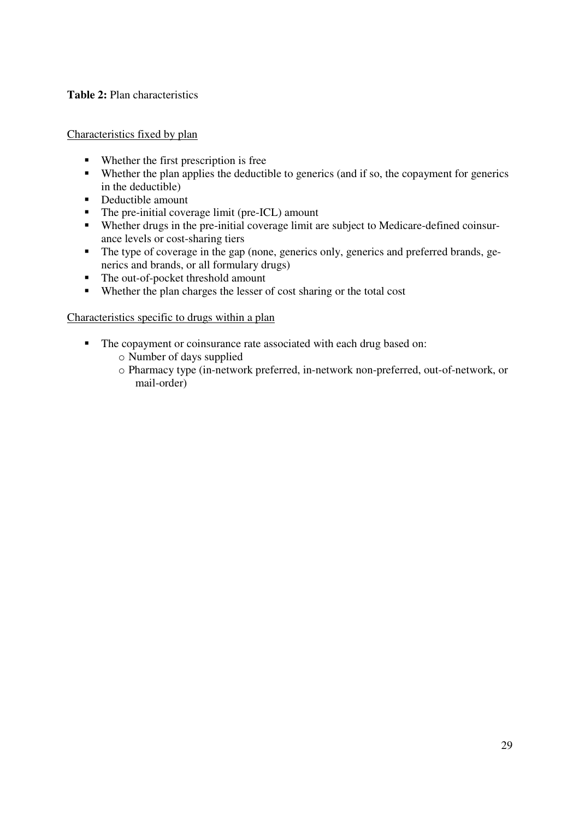# **Table 2:** Plan characteristics

Characteristics fixed by plan

- Whether the first prescription is free
- Whether the plan applies the deductible to generics (and if so, the copayment for generics in the deductible)
- Deductible amount
- The pre-initial coverage limit (pre-ICL) amount
- Whether drugs in the pre-initial coverage limit are subject to Medicare-defined coinsurance levels or cost-sharing tiers
- The type of coverage in the gap (none, generics only, generics and preferred brands, generics and brands, or all formulary drugs)
- The out-of-pocket threshold amount
- Whether the plan charges the lesser of cost sharing or the total cost

# Characteristics specific to drugs within a plan

- The copayment or coinsurance rate associated with each drug based on:
	- o Number of days supplied
	- o Pharmacy type (in-network preferred, in-network non-preferred, out-of-network, or mail-order)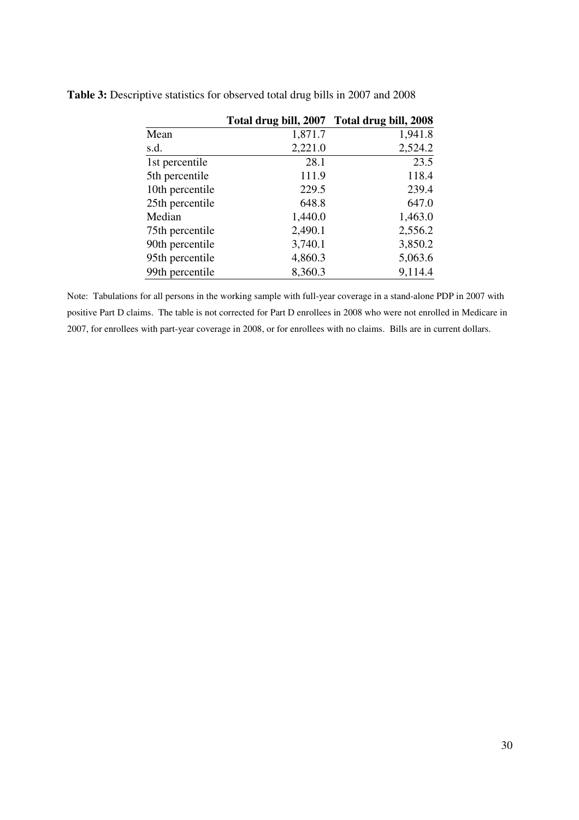|                 | Total drug bill, 2007 Total drug bill, 2008 |         |
|-----------------|---------------------------------------------|---------|
| Mean            | 1,871.7                                     | 1,941.8 |
| s.d.            | 2,221.0                                     | 2,524.2 |
| 1st percentile  | 28.1                                        | 23.5    |
| 5th percentile  | 111.9                                       | 118.4   |
| 10th percentile | 229.5                                       | 239.4   |
| 25th percentile | 648.8                                       | 647.0   |
| Median          | 1,440.0                                     | 1,463.0 |
| 75th percentile | 2,490.1                                     | 2,556.2 |
| 90th percentile | 3,740.1                                     | 3,850.2 |
| 95th percentile | 4,860.3                                     | 5,063.6 |
| 99th percentile | 8,360.3                                     | 9,114.4 |

**Table 3:** Descriptive statistics for observed total drug bills in 2007 and 2008

Note: Tabulations for all persons in the working sample with full-year coverage in a stand-alone PDP in 2007 with positive Part D claims. The table is not corrected for Part D enrollees in 2008 who were not enrolled in Medicare in 2007, for enrollees with part-year coverage in 2008, or for enrollees with no claims. Bills are in current dollars.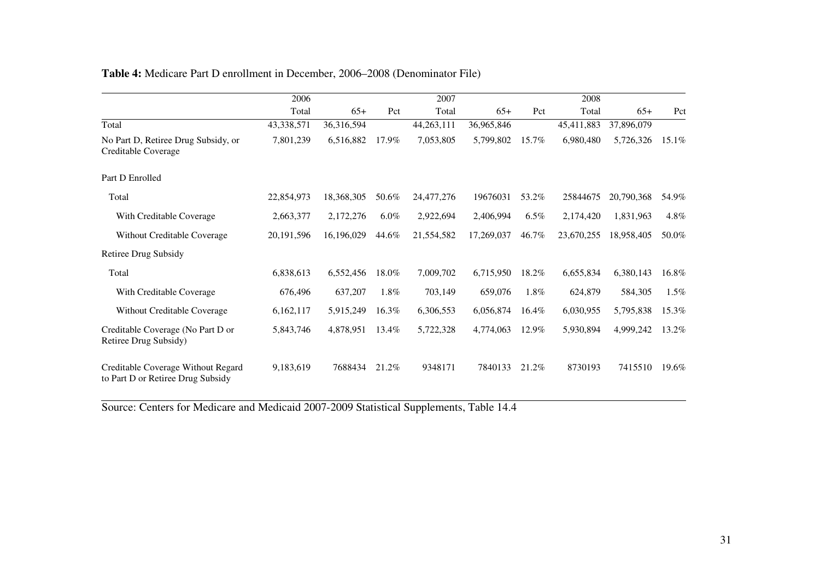|                                                                         | 2006         |            |         | 2007       |            |         | 2008       |            |       |
|-------------------------------------------------------------------------|--------------|------------|---------|------------|------------|---------|------------|------------|-------|
|                                                                         |              |            |         |            |            |         |            |            |       |
|                                                                         | Total        | $65+$      | Pct     | Total      | $65+$      | Pct     | Total      | $65+$      | Pct   |
| Total                                                                   | 43,338,571   | 36,316,594 |         | 44,263,111 | 36,965,846 |         | 45,411,883 | 37,896,079 |       |
| No Part D, Retiree Drug Subsidy, or<br>Creditable Coverage              | 7,801,239    | 6,516,882  | 17.9%   | 7,053,805  | 5,799,802  | 15.7%   | 6,980,480  | 5,726,326  | 15.1% |
| Part D Enrolled                                                         |              |            |         |            |            |         |            |            |       |
| Total                                                                   | 22,854,973   | 18,368,305 | 50.6%   | 24,477,276 | 19676031   | 53.2%   | 25844675   | 20,790,368 | 54.9% |
| With Creditable Coverage                                                | 2,663,377    | 2,172,276  | $6.0\%$ | 2,922,694  | 2,406,994  | $6.5\%$ | 2,174,420  | 1,831,963  | 4.8%  |
| Without Creditable Coverage                                             | 20, 191, 596 | 16,196,029 | 44.6%   | 21,554,582 | 17,269,037 | 46.7%   | 23,670,255 | 18,958,405 | 50.0% |
| <b>Retiree Drug Subsidy</b>                                             |              |            |         |            |            |         |            |            |       |
| Total                                                                   | 6,838,613    | 6,552,456  | 18.0%   | 7,009,702  | 6,715,950  | 18.2%   | 6,655,834  | 6,380,143  | 16.8% |
| With Creditable Coverage                                                | 676,496      | 637,207    | 1.8%    | 703,149    | 659,076    | 1.8%    | 624,879    | 584,305    | 1.5%  |
| Without Creditable Coverage                                             | 6,162,117    | 5,915,249  | 16.3%   | 6,306,553  | 6,056,874  | 16.4%   | 6,030,955  | 5,795,838  | 15.3% |
| Creditable Coverage (No Part D or<br>Retiree Drug Subsidy)              | 5,843,746    | 4,878,951  | 13.4%   | 5,722,328  | 4,774,063  | 12.9%   | 5,930,894  | 4,999,242  | 13.2% |
| Creditable Coverage Without Regard<br>to Part D or Retiree Drug Subsidy | 9,183,619    | 7688434    | 21.2%   | 9348171    | 7840133    | 21.2%   | 8730193    | 7415510    | 19.6% |

# **Table 4:** Medicare Part D enrollment in December, 2006–2008 (Denominator File)

Source: Centers for Medicare and Medicaid 2007-2009 Statistical Supplements, Table 14.4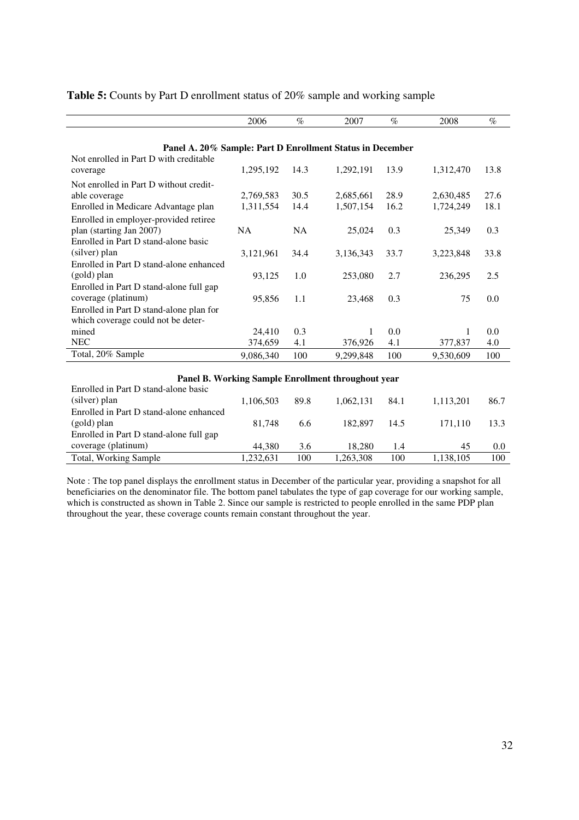|                                                           | 2006      | $\%$      | 2007                                               | $\%$ | 2008      | $\%$ |
|-----------------------------------------------------------|-----------|-----------|----------------------------------------------------|------|-----------|------|
|                                                           |           |           |                                                    |      |           |      |
| Panel A. 20% Sample: Part D Enrollment Status in December |           |           |                                                    |      |           |      |
| Not enrolled in Part D with creditable                    |           |           |                                                    |      |           |      |
| coverage                                                  | 1,295,192 | 14.3      | 1,292,191                                          | 13.9 | 1,312,470 | 13.8 |
| Not enrolled in Part D without credit-                    |           |           |                                                    |      |           |      |
| able coverage                                             | 2,769,583 | 30.5      | 2,685,661                                          | 28.9 | 2,630,485 | 27.6 |
| Enrolled in Medicare Advantage plan                       | 1,311,554 | 14.4      | 1,507,154                                          | 16.2 | 1,724,249 | 18.1 |
| Enrolled in employer-provided retiree                     |           |           |                                                    |      |           |      |
| plan (starting Jan 2007)                                  | <b>NA</b> | <b>NA</b> | 25,024                                             | 0.3  | 25,349    | 0.3  |
| Enrolled in Part D stand-alone basic                      |           |           |                                                    |      |           |      |
| (silver) plan                                             | 3,121,961 | 34.4      | 3,136,343                                          | 33.7 | 3,223,848 | 33.8 |
| Enrolled in Part D stand-alone enhanced                   |           |           |                                                    |      |           |      |
| (gold) plan                                               | 93,125    | 1.0       | 253,080                                            | 2.7  | 236,295   | 2.5  |
| Enrolled in Part D stand-alone full gap                   |           |           |                                                    |      |           |      |
| coverage (platinum)                                       | 95,856    | 1.1       | 23,468                                             | 0.3  | 75        | 0.0  |
| Enrolled in Part D stand-alone plan for                   |           |           |                                                    |      |           |      |
| which coverage could not be deter-                        |           |           |                                                    |      |           |      |
| mined                                                     | 24,410    | 0.3       | 1                                                  | 0.0  | 1         | 0.0  |
| <b>NEC</b>                                                | 374,659   | 4.1       | 376,926                                            | 4.1  | 377,837   | 4.0  |
| Total, 20% Sample                                         | 9,086,340 | 100       | 9,299,848                                          | 100  | 9,530,609 | 100  |
|                                                           |           |           |                                                    |      |           |      |
|                                                           |           |           | Panel B. Working Sample Enrollment throughout year |      |           |      |
| Enrolled in Part D stand-alone basic                      |           |           |                                                    |      |           |      |
| (silver) plan                                             | 1,106,503 | 89.8      | 1,062,131                                          | 84.1 | 1,113,201 | 86.7 |
| Enrolled in Part D stand-alone enhanced                   |           |           |                                                    |      |           |      |
| (gold) plan                                               | 81,748    | 6.6       | 182,897                                            | 14.5 | 171,110   | 13.3 |

## **Table 5:** Counts by Part D enrollment status of 20% sample and working sample

Enrolled in Part D stand-alone full gap coverage (platinum) 44,380 3.6 18,280 1.4 45 0.0 Total, Working Sample 1,232,631 100 1,263,308 100 1,138,105 100 Note : The top panel displays the enrollment status in December of the particular year, providing a snapshot for all

beneficiaries on the denominator file. The bottom panel tabulates the type of gap coverage for our working sample, which is constructed as shown in Table 2. Since our sample is restricted to people enrolled in the same PDP plan throughout the year, these coverage counts remain constant throughout the year.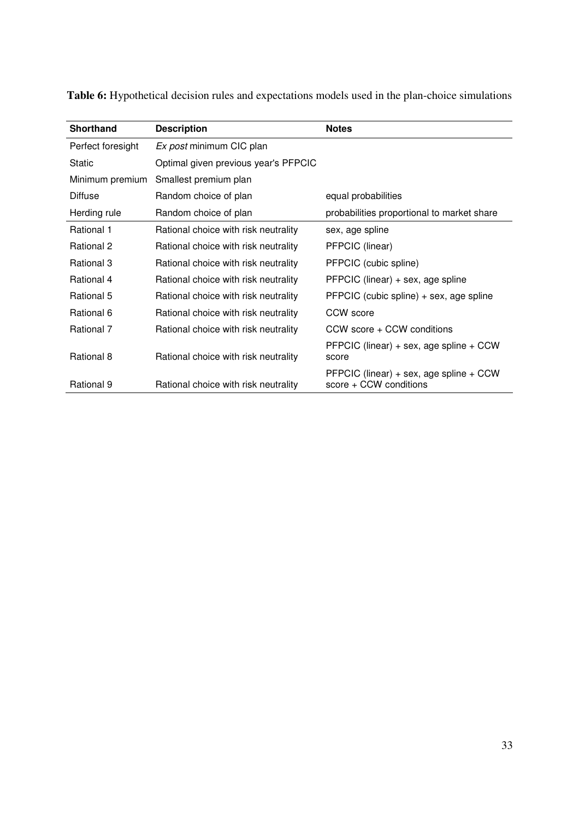| Shorthand         | <b>Description</b>                   | <b>Notes</b>                                                          |
|-------------------|--------------------------------------|-----------------------------------------------------------------------|
| Perfect foresight | Ex post minimum CIC plan             |                                                                       |
| <b>Static</b>     | Optimal given previous year's PFPCIC |                                                                       |
| Minimum premium   | Smallest premium plan                |                                                                       |
| <b>Diffuse</b>    | Random choice of plan                | equal probabilities                                                   |
| Herding rule      | Random choice of plan                | probabilities proportional to market share                            |
| Rational 1        | Rational choice with risk neutrality | sex, age spline                                                       |
| Rational 2        | Rational choice with risk neutrality | PFPCIC (linear)                                                       |
| Rational 3        | Rational choice with risk neutrality | PFPCIC (cubic spline)                                                 |
| Rational 4        | Rational choice with risk neutrality | PFPCIC (linear) + sex, age spline                                     |
| Rational 5        | Rational choice with risk neutrality | PFPCIC (cubic spline) + sex, age spline                               |
| Rational 6        | Rational choice with risk neutrality | CCW score                                                             |
| Rational 7        | Rational choice with risk neutrality | CCW score + CCW conditions                                            |
| Rational 8        | Rational choice with risk neutrality | PFPCIC (linear) + sex, age spline + $CCW$<br>score                    |
| Rational 9        | Rational choice with risk neutrality | PFPCIC (linear) + sex, age spline + $CCW$<br>$score + CCW$ conditions |

**Table 6:** Hypothetical decision rules and expectations models used in the plan-choice simulations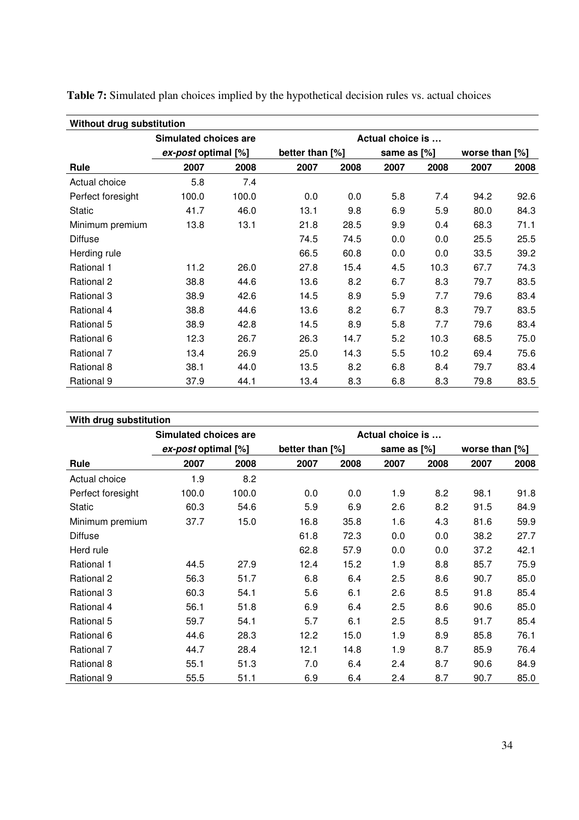| Without drug substitution |                       |       |                 |      |                  |      |                   |      |
|---------------------------|-----------------------|-------|-----------------|------|------------------|------|-------------------|------|
|                           | Simulated choices are |       |                 |      | Actual choice is |      |                   |      |
|                           | ex-post optimal [%]   |       | better than [%] |      | same as [%]      |      | worse than $[\%]$ |      |
| Rule                      | 2007                  | 2008  | 2007            | 2008 | 2007             | 2008 | 2007              | 2008 |
| Actual choice             | 5.8                   | 7.4   |                 |      |                  |      |                   |      |
| Perfect foresight         | 100.0                 | 100.0 | 0.0             | 0.0  | 5.8              | 7.4  | 94.2              | 92.6 |
| <b>Static</b>             | 41.7                  | 46.0  | 13.1            | 9.8  | 6.9              | 5.9  | 80.0              | 84.3 |
| Minimum premium           | 13.8                  | 13.1  | 21.8            | 28.5 | 9.9              | 0.4  | 68.3              | 71.1 |
| <b>Diffuse</b>            |                       |       | 74.5            | 74.5 | 0.0              | 0.0  | 25.5              | 25.5 |
| Herding rule              |                       |       | 66.5            | 60.8 | 0.0              | 0.0  | 33.5              | 39.2 |
| Rational 1                | 11.2                  | 26.0  | 27.8            | 15.4 | 4.5              | 10.3 | 67.7              | 74.3 |
| Rational 2                | 38.8                  | 44.6  | 13.6            | 8.2  | 6.7              | 8.3  | 79.7              | 83.5 |
| Rational 3                | 38.9                  | 42.6  | 14.5            | 8.9  | 5.9              | 7.7  | 79.6              | 83.4 |
| Rational 4                | 38.8                  | 44.6  | 13.6            | 8.2  | 6.7              | 8.3  | 79.7              | 83.5 |
| Rational 5                | 38.9                  | 42.8  | 14.5            | 8.9  | 5.8              | 7.7  | 79.6              | 83.4 |
| Rational 6                | 12.3                  | 26.7  | 26.3            | 14.7 | 5.2              | 10.3 | 68.5              | 75.0 |
| Rational 7                | 13.4                  | 26.9  | 25.0            | 14.3 | 5.5              | 10.2 | 69.4              | 75.6 |
| Rational 8                | 38.1                  | 44.0  | 13.5            | 8.2  | 6.8              | 8.4  | 79.7              | 83.4 |
| Rational 9                | 37.9                  | 44.1  | 13.4            | 8.3  | 6.8              | 8.3  | 79.8              | 83.5 |

**Table 7:** Simulated plan choices implied by the hypothetical decision rules vs. actual choices

| With drug substitution |                       |       |                 |      |                  |      |                |      |
|------------------------|-----------------------|-------|-----------------|------|------------------|------|----------------|------|
|                        | Simulated choices are |       |                 |      | Actual choice is |      |                |      |
|                        | ex-post optimal [%]   |       | better than [%] |      | same as [%]      |      | worse than [%] |      |
| Rule                   | 2007                  | 2008  | 2007            | 2008 | 2007             | 2008 | 2007           | 2008 |
| Actual choice          | 1.9                   | 8.2   |                 |      |                  |      |                |      |
| Perfect foresight      | 100.0                 | 100.0 | 0.0             | 0.0  | 1.9              | 8.2  | 98.1           | 91.8 |
| <b>Static</b>          | 60.3                  | 54.6  | 5.9             | 6.9  | 2.6              | 8.2  | 91.5           | 84.9 |
| Minimum premium        | 37.7                  | 15.0  | 16.8            | 35.8 | 1.6              | 4.3  | 81.6           | 59.9 |
| <b>Diffuse</b>         |                       |       | 61.8            | 72.3 | 0.0              | 0.0  | 38.2           | 27.7 |
| Herd rule              |                       |       | 62.8            | 57.9 | 0.0              | 0.0  | 37.2           | 42.1 |
| Rational 1             | 44.5                  | 27.9  | 12.4            | 15.2 | 1.9              | 8.8  | 85.7           | 75.9 |
| Rational 2             | 56.3                  | 51.7  | 6.8             | 6.4  | 2.5              | 8.6  | 90.7           | 85.0 |
| Rational 3             | 60.3                  | 54.1  | 5.6             | 6.1  | 2.6              | 8.5  | 91.8           | 85.4 |
| Rational 4             | 56.1                  | 51.8  | 6.9             | 6.4  | 2.5              | 8.6  | 90.6           | 85.0 |
| Rational 5             | 59.7                  | 54.1  | 5.7             | 6.1  | 2.5              | 8.5  | 91.7           | 85.4 |
| Rational 6             | 44.6                  | 28.3  | 12.2            | 15.0 | 1.9              | 8.9  | 85.8           | 76.1 |
| <b>Rational 7</b>      | 44.7                  | 28.4  | 12.1            | 14.8 | 1.9              | 8.7  | 85.9           | 76.4 |
| Rational 8             | 55.1                  | 51.3  | 7.0             | 6.4  | 2.4              | 8.7  | 90.6           | 84.9 |
| Rational 9             | 55.5                  | 51.1  | 6.9             | 6.4  | 2.4              | 8.7  | 90.7           | 85.0 |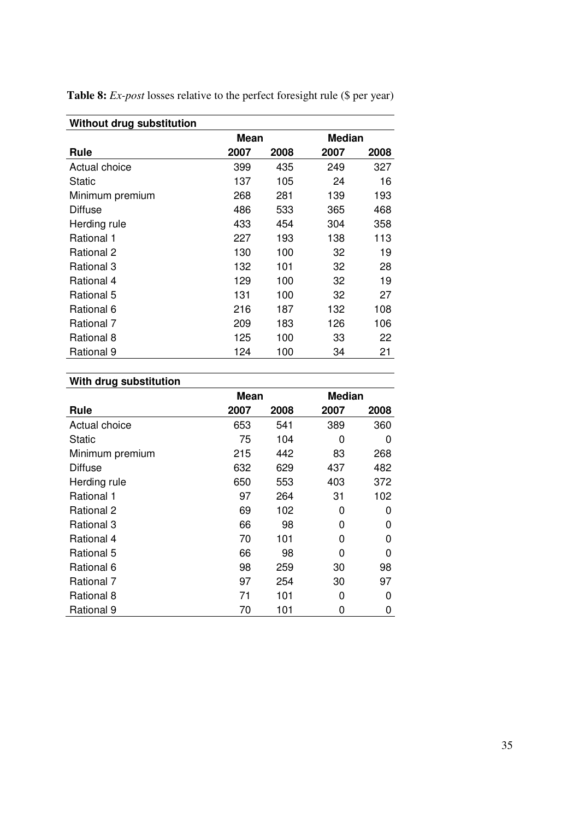| Without drug substitution |      |      |               |      |
|---------------------------|------|------|---------------|------|
|                           | Mean |      | <b>Median</b> |      |
| Rule                      | 2007 | 2008 | 2007          | 2008 |
| Actual choice             | 399  | 435  | 249           | 327  |
| Static                    | 137  | 105  | 24            | 16   |
| Minimum premium           | 268  | 281  | 139           | 193  |
| <b>Diffuse</b>            | 486  | 533  | 365           | 468  |
| Herding rule              | 433  | 454  | 304           | 358  |
| Rational 1                | 227  | 193  | 138           | 113  |
| Rational 2                | 130  | 100  | 32            | 19   |
| Rational 3                | 132  | 101  | 32            | 28   |
| Rational 4                | 129  | 100  | 32            | 19   |
| Rational 5                | 131  | 100  | 32            | 27   |
| Rational 6                | 216  | 187  | 132           | 108  |
| Rational 7                | 209  | 183  | 126           | 106  |
| Rational 8                | 125  | 100  | 33            | 22   |
| Rational 9                | 124  | 100  | 34            | 21   |

**Table 8:** *Ex-post* losses relative to the perfect foresight rule (\$ per year)

# **With drug substitution**

|                   | <b>Mean</b> |      | <b>Median</b> |      |
|-------------------|-------------|------|---------------|------|
| Rule              | 2007        | 2008 | 2007          | 2008 |
| Actual choice     | 653         | 541  | 389           | 360  |
| Static            | 75          | 104  | 0             | 0    |
| Minimum premium   | 215         | 442  | 83            | 268  |
| Diffuse           | 632         | 629  | 437           | 482  |
| Herding rule      | 650         | 553  | 403           | 372  |
| <b>Rational 1</b> | 97          | 264  | 31            | 102  |
| Rational 2        | 69          | 102  | 0             | 0    |
| Rational 3        | 66          | 98   | 0             | 0    |
| Rational 4        | 70          | 101  | 0             | 0    |
| Rational 5        | 66          | 98   | 0             | ი    |
| Rational 6        | 98          | 259  | 30            | 98   |
| Rational 7        | 97          | 254  | 30            | 97   |
| Rational 8        | 71          | 101  | 0             | 0    |
| Rational 9        | 70          | 101  | 0             | 0    |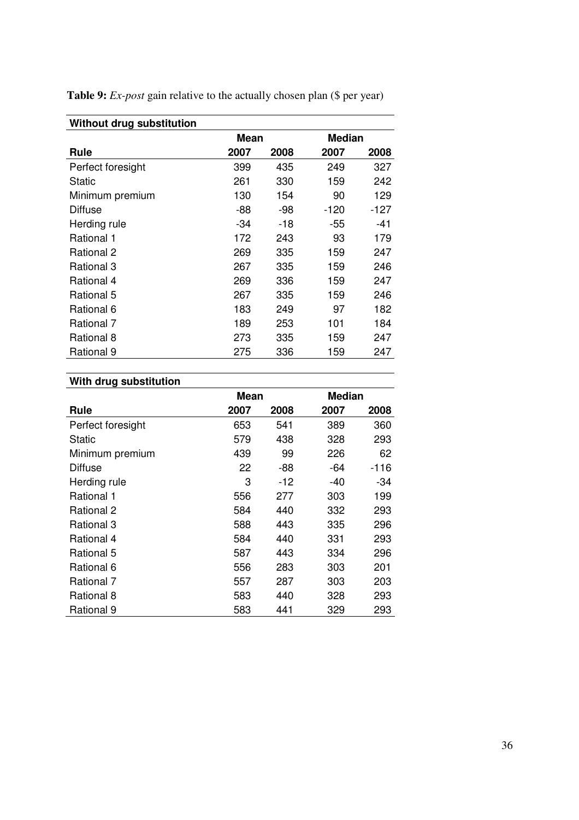| Without drug substitution |      |      |        |      |
|---------------------------|------|------|--------|------|
|                           | Mean |      | Median |      |
| Rule                      | 2007 | 2008 | 2007   | 2008 |
| Perfect foresight         | 399  | 435  | 249    | 327  |
| Static                    | 261  | 330  | 159    | 242  |
| Minimum premium           | 130  | 154  | 90     | 129  |
| <b>Diffuse</b>            | -88  | -98  | -120   | -127 |
| Herding rule              | -34  | -18  | -55    | -41  |
| Rational 1                | 172  | 243  | 93     | 179  |
| Rational 2                | 269  | 335  | 159    | 247  |
| Rational 3                | 267  | 335  | 159    | 246  |
| Rational 4                | 269  | 336  | 159    | 247  |
| Rational 5                | 267  | 335  | 159    | 246  |
| Rational 6                | 183  | 249  | 97     | 182  |
| Rational 7                | 189  | 253  | 101    | 184  |
| Rational 8                | 273  | 335  | 159    | 247  |
| Rational 9                | 275  | 336  | 159    | 247  |

**Table 9:** *Ex-post* gain relative to the actually chosen plan (\$ per year)

## **With drug substitution**

|                   | Mean |       | <b>Median</b> |      |
|-------------------|------|-------|---------------|------|
| Rule              | 2007 | 2008  | 2007          | 2008 |
| Perfect foresight | 653  | 541   | 389           | 360  |
| Static            | 579  | 438   | 328           | 293  |
| Minimum premium   | 439  | 99    | 226           | 62   |
| <b>Diffuse</b>    | 22   | -88   | -64           | -116 |
| Herding rule      | 3    | $-12$ | -40           | -34  |
| Rational 1        | 556  | 277   | 303           | 199  |
| Rational 2        | 584  | 440   | 332           | 293  |
| Rational 3        | 588  | 443   | 335           | 296  |
| Rational 4        | 584  | 440   | 331           | 293  |
| Rational 5        | 587  | 443   | 334           | 296  |
| Rational 6        | 556  | 283   | 303           | 201  |
| Rational 7        | 557  | 287   | 303           | 203  |
| Rational 8        | 583  | 440   | 328           | 293  |
| Rational 9        | 583  | 441   | 329           | 293  |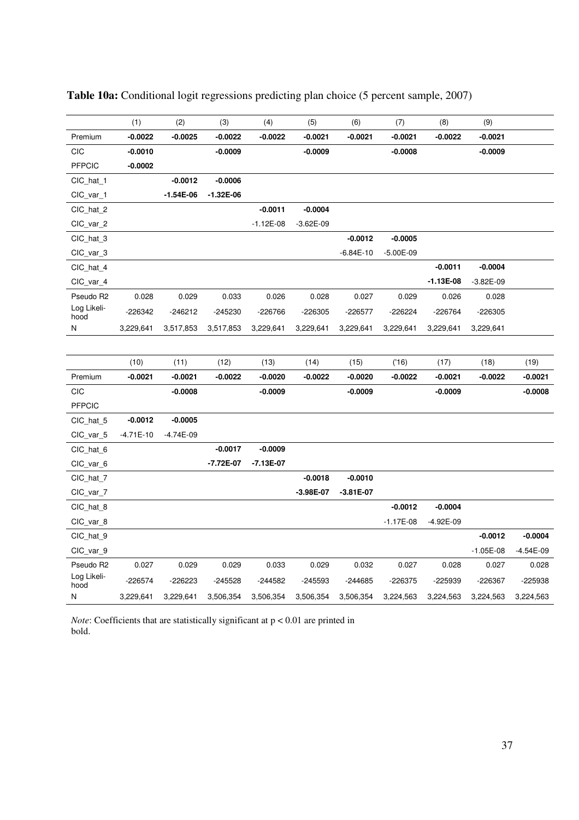|                     | (1)               | (2)               | (3)               | (4)             | (5)               | (6)               | (7)                | (8)               | (9)               |                   |
|---------------------|-------------------|-------------------|-------------------|-----------------|-------------------|-------------------|--------------------|-------------------|-------------------|-------------------|
| Premium             | $-0.0022$         | $-0.0025$         | $-0.0022$         | $-0.0022$       | -0.0021           | $-0.0021$         | $-0.0021$          | $-0.0022$         | $-0.0021$         |                   |
| CIC                 | $-0.0010$         |                   | $-0.0009$         |                 | $-0.0009$         |                   | $-0.0008$          |                   | $-0.0009$         |                   |
| <b>PFPCIC</b>       | $-0.0002$         |                   |                   |                 |                   |                   |                    |                   |                   |                   |
| CIC_hat_1           |                   | $-0.0012$         | $-0.0006$         |                 |                   |                   |                    |                   |                   |                   |
| CIC_var_1           |                   | $-1.54E-06$       | $-1.32E-06$       |                 |                   |                   |                    |                   |                   |                   |
| CIC_hat_2           |                   |                   |                   | $-0.0011$       | $-0.0004$         |                   |                    |                   |                   |                   |
| CIC_var_2           |                   |                   |                   | $-1.12E-08$     | $-3.62E-09$       |                   |                    |                   |                   |                   |
| CIC_hat_3           |                   |                   |                   |                 |                   | $-0.0012$         | $-0.0005$          |                   |                   |                   |
| CIC_var_3           |                   |                   |                   |                 |                   | $-6.84E-10$       | $-5.00E-09$        |                   |                   |                   |
| CIC_hat_4           |                   |                   |                   |                 |                   |                   |                    | $-0.0011$         | $-0.0004$         |                   |
| CIC_var_4           |                   |                   |                   |                 |                   |                   |                    | $-1.13E-08$       | $-3.82E-09$       |                   |
| Pseudo R2           | 0.028             | 0.029             | 0.033             | 0.026           | 0.028             | 0.027             | 0.029              | 0.026             | 0.028             |                   |
| Log Likeli-<br>hood | -226342           | $-246212$         | -245230           | -226766         | $-226305$         | $-226577$         | -226224            | $-226764$         | -226305           |                   |
| N                   | 3,229,641         | 3,517,853         | 3,517,853         | 3,229,641       | 3,229,641         | 3,229,641         | 3,229,641          | 3,229,641         | 3,229,641         |                   |
|                     |                   |                   |                   |                 |                   |                   |                    |                   |                   |                   |
|                     |                   |                   |                   |                 |                   |                   |                    |                   |                   |                   |
| Premium             | (10)<br>$-0.0021$ | (11)<br>$-0.0021$ | (12)<br>$-0.0022$ | (13)<br>-0.0020 | (14)<br>$-0.0022$ | (15)<br>$-0.0020$ | ('16)<br>$-0.0022$ | (17)<br>$-0.0021$ | (18)<br>$-0.0022$ | (19)<br>$-0.0021$ |
| CIC                 |                   | $-0.0008$         |                   | -0.0009         |                   | $-0.0009$         |                    | $-0.0009$         |                   | $-0.0008$         |
| <b>PFPCIC</b>       |                   |                   |                   |                 |                   |                   |                    |                   |                   |                   |
|                     | $-0.0012$         | $-0.0005$         |                   |                 |                   |                   |                    |                   |                   |                   |
| CIC_hat_5           |                   |                   |                   |                 |                   |                   |                    |                   |                   |                   |
| CIC_var_5           | $-4.71E-10$       |                   |                   |                 |                   |                   |                    |                   |                   |                   |
|                     |                   | $-4.74E-09$       |                   |                 |                   |                   |                    |                   |                   |                   |
| CIC_hat_6           |                   |                   | $-0.0017$         | $-0.0009$       |                   |                   |                    |                   |                   |                   |
| CIC_var_6           |                   |                   | $-7.72E-07$       | $-7.13E-07$     |                   |                   |                    |                   |                   |                   |
| CIC_hat_7           |                   |                   |                   |                 | $-0.0018$         | $-0.0010$         |                    |                   |                   |                   |
| CIC_var_7           |                   |                   |                   |                 | $-3.98E-07$       | $-3.81E-07$       |                    |                   |                   |                   |
| CIC_hat_8           |                   |                   |                   |                 |                   |                   | $-0.0012$          | $-0.0004$         |                   |                   |
| CIC_var_8           |                   |                   |                   |                 |                   |                   | $-1.17E-08$        | $-4.92E-09$       |                   |                   |
| CIC_hat_9           |                   |                   |                   |                 |                   |                   |                    |                   | $-0.0012$         | $-0.0004$         |
| CIC_var_9           |                   |                   |                   |                 |                   |                   |                    |                   | $-1.05E-08$       | -4.54E-09         |
| Pseudo R2           | 0.027             | 0.029             | 0.029             | 0.033           | 0.029             | 0.032             | 0.027              | 0.028             | 0.027             | 0.028             |
| Log Likeli-<br>hood | $-226574$         | $-226223$         | -245528           | -244582         | -245593           | -244685           | -226375            | -225939           | -226367           | $-225938$         |

| Table 10a: Conditional logit regressions predicting plan choice (5 percent sample, 2007) |  |  |  |  |
|------------------------------------------------------------------------------------------|--|--|--|--|
|------------------------------------------------------------------------------------------|--|--|--|--|

*Note*: Coefficients that are statistically significant at  $p < 0.01$  are printed in bold.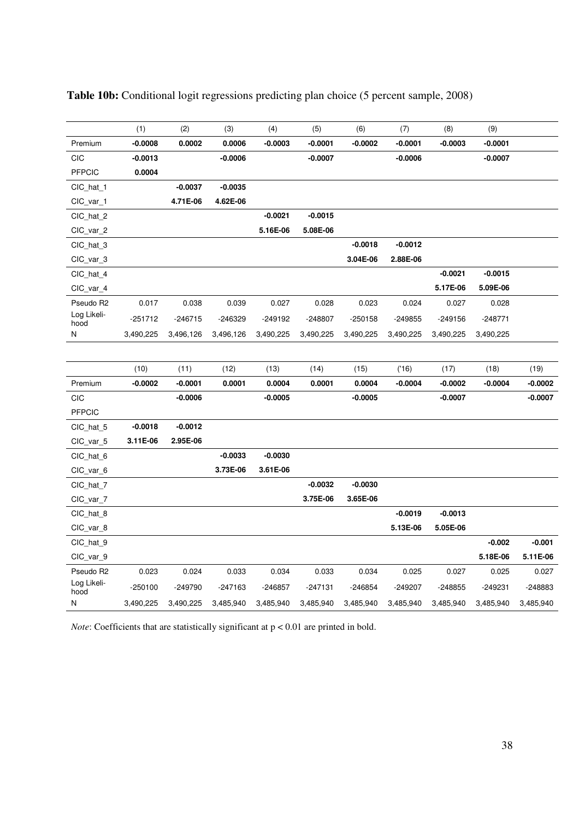|                     | (1)       | (2)       | (3)       | (4)       | (5)       | (6)       | (7)       | (8)       | (9)       |           |
|---------------------|-----------|-----------|-----------|-----------|-----------|-----------|-----------|-----------|-----------|-----------|
| Premium             | $-0.0008$ | 0.0002    | 0.0006    | $-0.0003$ | $-0.0001$ | $-0.0002$ | $-0.0001$ | $-0.0003$ | $-0.0001$ |           |
| <b>CIC</b>          | $-0.0013$ |           | $-0.0006$ |           | $-0.0007$ |           | $-0.0006$ |           | $-0.0007$ |           |
| <b>PFPCIC</b>       | 0.0004    |           |           |           |           |           |           |           |           |           |
| CIC_hat_1           |           | $-0.0037$ | $-0.0035$ |           |           |           |           |           |           |           |
| CIC_var_1           |           | 4.71E-06  | 4.62E-06  |           |           |           |           |           |           |           |
| CIC_hat_2           |           |           |           | $-0.0021$ | $-0.0015$ |           |           |           |           |           |
| CIC_var_2           |           |           |           | 5.16E-06  | 5.08E-06  |           |           |           |           |           |
| CIC_hat_3           |           |           |           |           |           | $-0.0018$ | $-0.0012$ |           |           |           |
| CIC_var_3           |           |           |           |           |           | 3.04E-06  | 2.88E-06  |           |           |           |
| CIC_hat_4           |           |           |           |           |           |           |           | $-0.0021$ | $-0.0015$ |           |
| CIC_var_4           |           |           |           |           |           |           |           | 5.17E-06  | 5.09E-06  |           |
| Pseudo R2           | 0.017     | 0.038     | 0.039     | 0.027     | 0.028     | 0.023     | 0.024     | 0.027     | 0.028     |           |
| Log Likeli-<br>hood | $-251712$ | $-246715$ | -246329   | $-249192$ | $-248807$ | $-250158$ | $-249855$ | $-249156$ | $-248771$ |           |
| N                   | 3,490,225 | 3,496,126 | 3,496,126 | 3,490,225 | 3,490,225 | 3,490,225 | 3,490,225 | 3,490,225 | 3,490,225 |           |
|                     |           |           |           |           |           |           |           |           |           |           |
|                     | (10)      | (11)      | (12)      | (13)      | (14)      | (15)      | ('16)     | (17)      | (18)      | (19)      |
| Premium             | $-0.0002$ | $-0.0001$ | 0.0001    | 0.0004    | 0.0001    | 0.0004    | $-0.0004$ | $-0.0002$ | $-0.0004$ | $-0.0002$ |
| CIC                 |           | $-0.0006$ |           | $-0.0005$ |           | $-0.0005$ |           | $-0.0007$ |           | $-0.0007$ |
| <b>PFPCIC</b>       |           |           |           |           |           |           |           |           |           |           |
| CIC_hat_5           | $-0.0018$ | $-0.0012$ |           |           |           |           |           |           |           |           |
| CIC_var_5           | 3.11E-06  | 2.95E-06  |           |           |           |           |           |           |           |           |
| CIC_hat_6           |           |           | $-0.0033$ | $-0.0030$ |           |           |           |           |           |           |
| CIC_var_6           |           |           | 3.73E-06  | 3.61E-06  |           |           |           |           |           |           |
| CIC_hat_7           |           |           |           |           | $-0.0032$ | $-0.0030$ |           |           |           |           |
| CIC_var_7           |           |           |           |           | 3.75E-06  | 3.65E-06  |           |           |           |           |
| CIC_hat_8           |           |           |           |           |           |           | $-0.0019$ | $-0.0013$ |           |           |
| CIC_var_8           |           |           |           |           |           |           | 5.13E-06  | 5.05E-06  |           |           |
| CIC_hat_9           |           |           |           |           |           |           |           |           | $-0.002$  | $-0.001$  |
| CIC_var_9           |           |           |           |           |           |           |           |           | 5.18E-06  | 5.11E-06  |
| Pseudo R2           | 0.023     | 0.024     | 0.033     | 0.034     | 0.033     | 0.034     | 0.025     | 0.027     | 0.025     | 0.027     |
| Log Likeli-<br>hood | $-250100$ | $-249790$ | $-247163$ | $-246857$ | $-247131$ | $-246854$ | $-249207$ | $-248855$ | $-249231$ | $-248883$ |
| N                   | 3,490,225 | 3,490,225 | 3,485,940 | 3,485,940 | 3,485,940 | 3,485,940 | 3,485,940 | 3,485,940 | 3,485,940 | 3,485,940 |

|  | Table 10b: Conditional logit regressions predicting plan choice (5 percent sample, 2008) |  |  |  |  |  |  |  |  |  |
|--|------------------------------------------------------------------------------------------|--|--|--|--|--|--|--|--|--|
|--|------------------------------------------------------------------------------------------|--|--|--|--|--|--|--|--|--|

*Note*: Coefficients that are statistically significant at  $p < 0.01$  are printed in bold.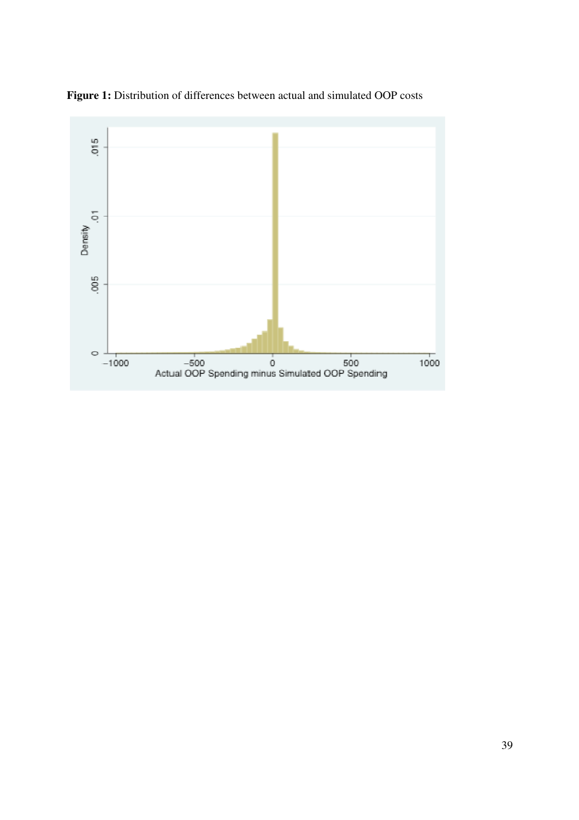

**Figure 1:** Distribution of differences between actual and simulated OOP costs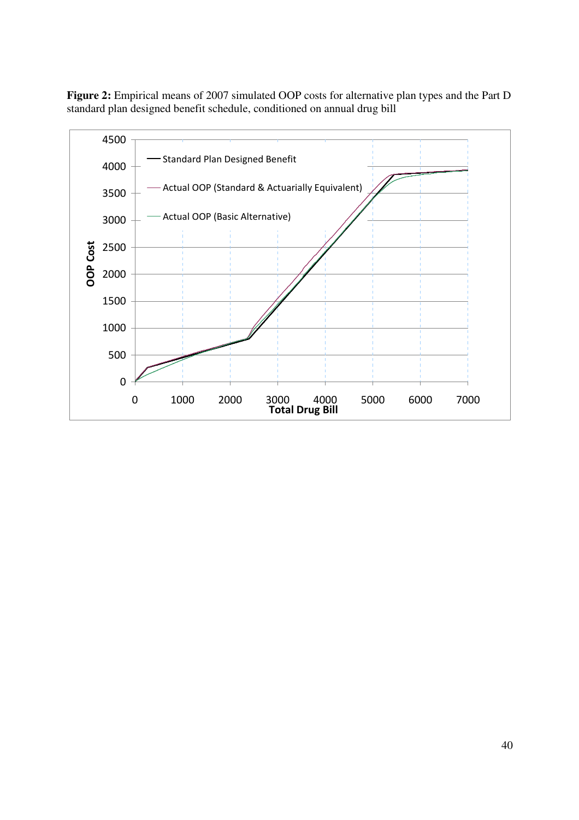**Figure 2:** Empirical means of 2007 simulated OOP costs for alternative plan types and the Part D standard plan designed benefit schedule, conditioned on annual drug bill

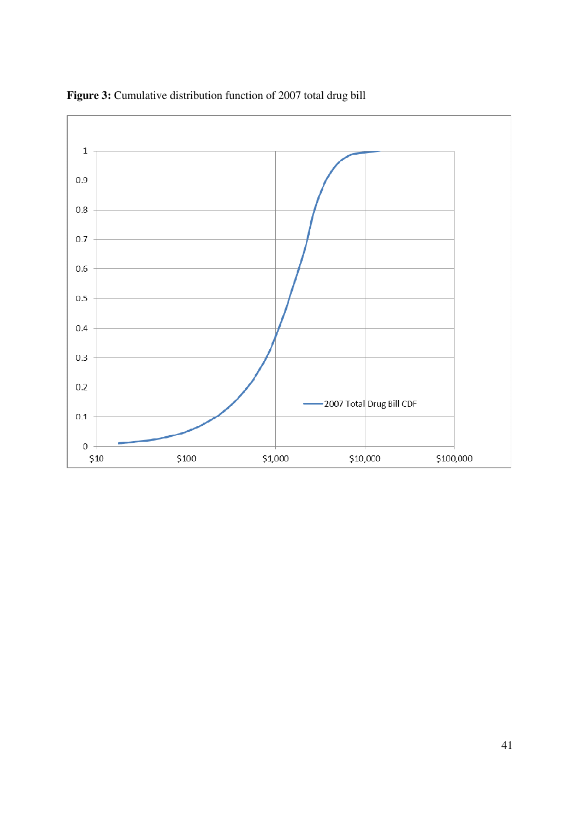

**Figure 3:** Cumulative distribution function of 2007 total drug bill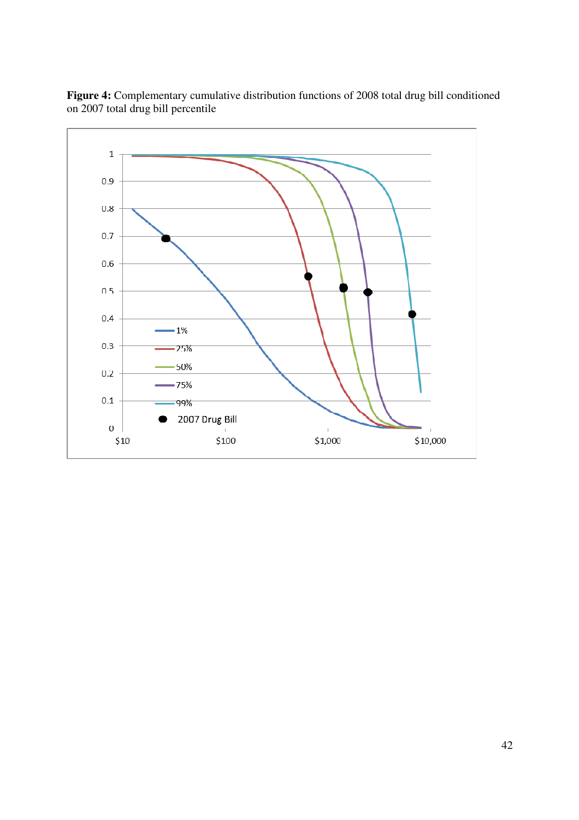

**Figure 4:** Complementary cumulative distribution functions of 2008 total drug bill conditioned on 2007 total drug bill percentile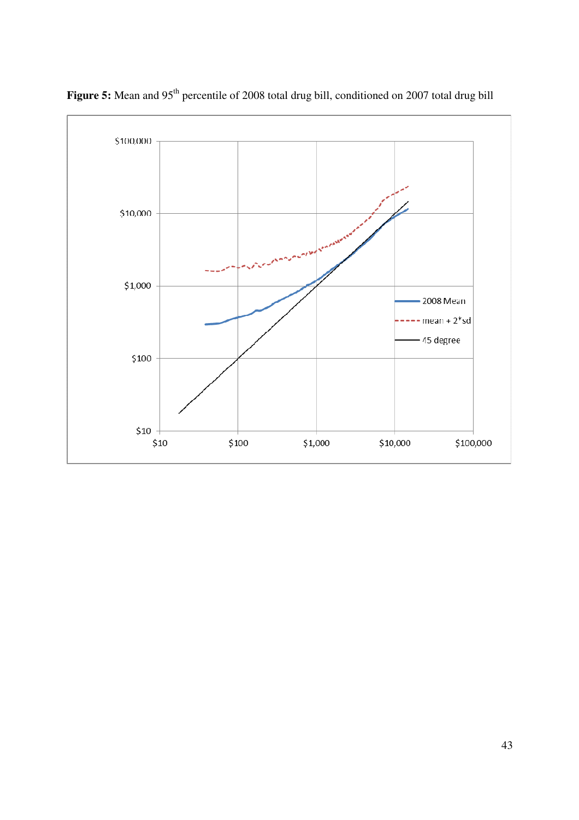

Figure 5: Mean and 95<sup>th</sup> percentile of 2008 total drug bill, conditioned on 2007 total drug bill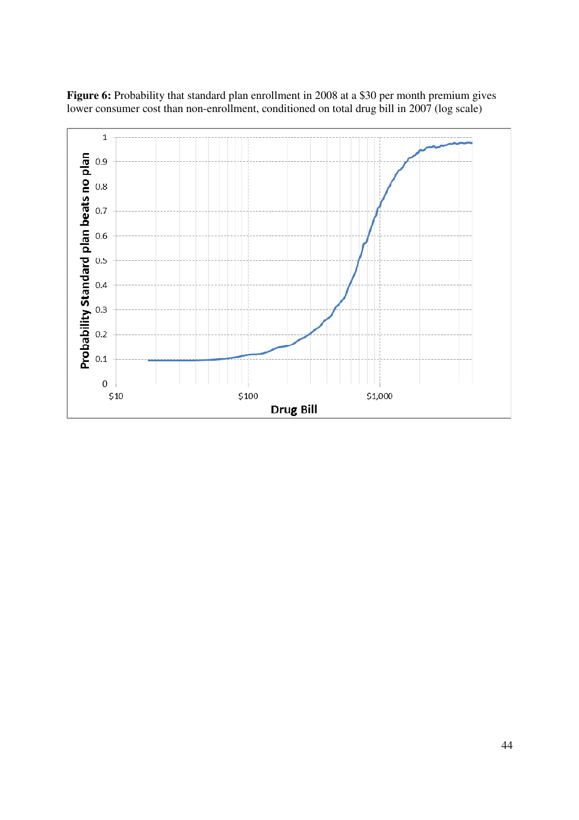

**Figure 6:** Probability that standard plan enrollment in 2008 at a \$30 per month premium gives lower consumer cost than non-enrollment, conditioned on total drug bill in 2007 (log scale)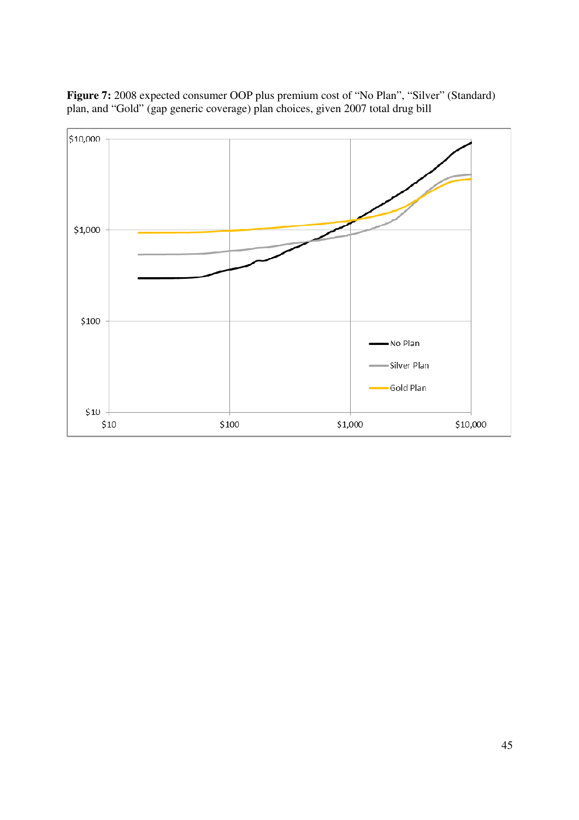

**Figure 7:** 2008 expected consumer OOP plus premium cost of "No Plan", "Silver" (Standard) plan, and "Gold" (gap generic coverage) plan choices, given 2007 total drug bill